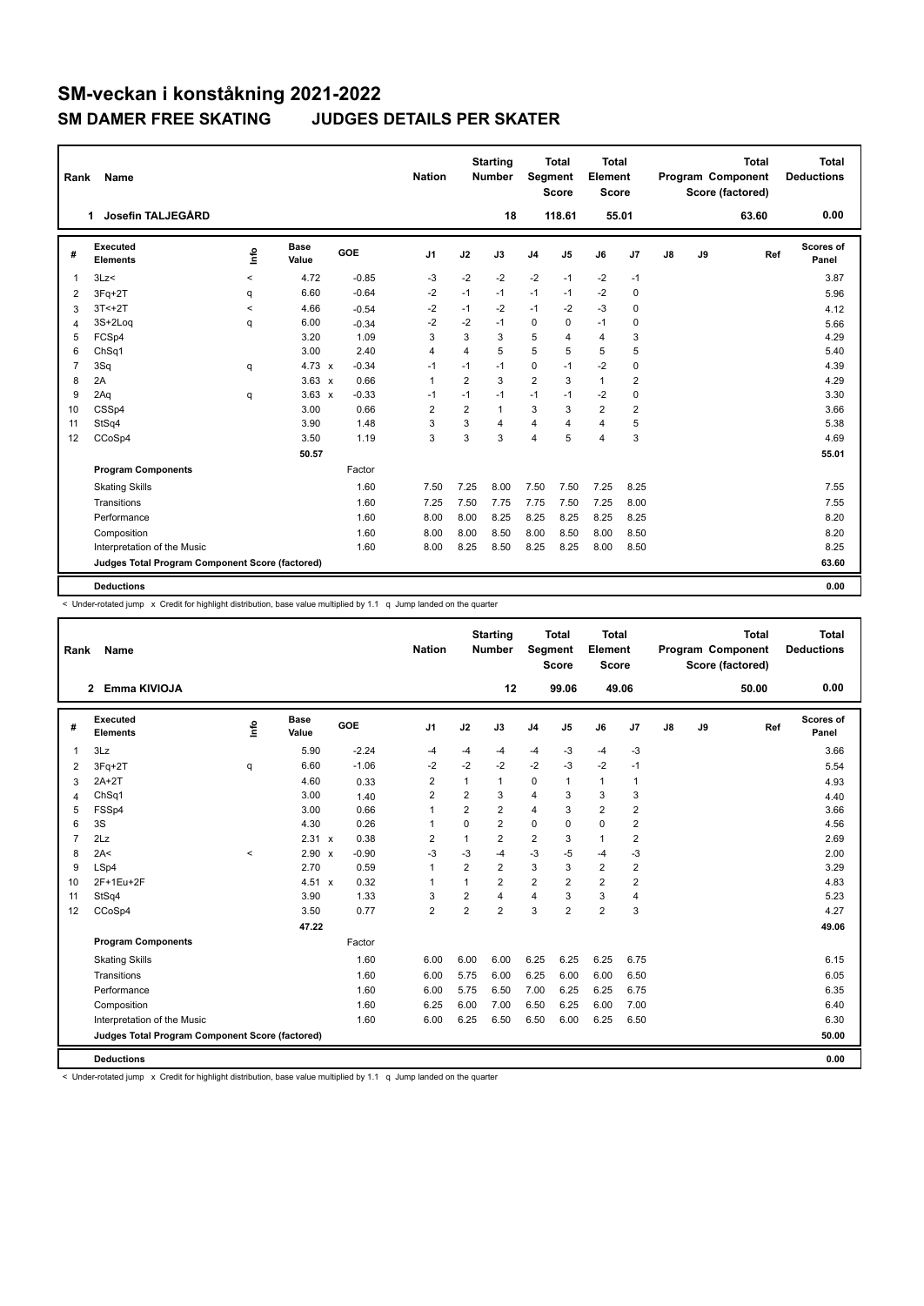| Rank           | Name                                            |         |                      |            | <b>Nation</b>  |                | <b>Starting</b><br>Number | Segment        | <b>Total</b><br><b>Score</b> | <b>Total</b><br>Element<br><b>Score</b> |                |    |    | <b>Total</b><br>Program Component<br>Score (factored) | <b>Total</b><br><b>Deductions</b> |
|----------------|-------------------------------------------------|---------|----------------------|------------|----------------|----------------|---------------------------|----------------|------------------------------|-----------------------------------------|----------------|----|----|-------------------------------------------------------|-----------------------------------|
|                | Josefin TALJEGÅRD<br>1                          |         |                      |            |                |                | 18                        |                | 118.61                       |                                         | 55.01          |    |    | 63.60                                                 | 0.00                              |
| #              | Executed<br><b>Elements</b>                     | Info    | <b>Base</b><br>Value | <b>GOE</b> | J <sub>1</sub> | J2             | J3                        | J <sub>4</sub> | J5                           | J6                                      | J7             | J8 | J9 | Ref                                                   | Scores of<br>Panel                |
| 1              | 3Lz                                             | $\prec$ | 4.72                 | $-0.85$    | $-3$           | $-2$           | $-2$                      | $-2$           | $-1$                         | $-2$                                    | $-1$           |    |    |                                                       | 3.87                              |
| 2              | $3Fq+2T$                                        | q       | 6.60                 | $-0.64$    | -2             | $-1$           | $-1$                      | $-1$           | $-1$                         | $-2$                                    | 0              |    |    |                                                       | 5.96                              |
| 3              | $3T < +2T$                                      | $\prec$ | 4.66                 | $-0.54$    | $-2$           | $-1$           | $-2$                      | $-1$           | $-2$                         | $-3$                                    | 0              |    |    |                                                       | 4.12                              |
| 4              | 3S+2Log                                         | q       | 6.00                 | $-0.34$    | $-2$           | $-2$           | $-1$                      | $\mathbf 0$    | $\mathbf 0$                  | $-1$                                    | $\mathbf 0$    |    |    |                                                       | 5.66                              |
| 5              | FCSp4                                           |         | 3.20                 | 1.09       | 3              | 3              | 3                         | 5              | $\overline{4}$               | $\overline{4}$                          | 3              |    |    |                                                       | 4.29                              |
| 6              | ChSq1                                           |         | 3.00                 | 2.40       | 4              | $\overline{4}$ | 5                         | 5              | 5                            | 5                                       | 5              |    |    |                                                       | 5.40                              |
| $\overline{7}$ | 3Sq                                             | q       | $4.73 \times$        | $-0.34$    | $-1$           | $-1$           | $-1$                      | 0              | $-1$                         | $-2$                                    | $\mathbf 0$    |    |    |                                                       | 4.39                              |
| 8              | 2A                                              |         | $3.63 \times$        | 0.66       | $\overline{1}$ | $\overline{2}$ | 3                         | $\overline{2}$ | 3                            | $\mathbf{1}$                            | 2              |    |    |                                                       | 4.29                              |
| 9              | 2Aq                                             | q       | $3.63 \times$        | $-0.33$    | -1             | $-1$           | $-1$                      | $-1$           | $-1$                         | $-2$                                    | 0              |    |    |                                                       | 3.30                              |
| 10             | CSSp4                                           |         | 3.00                 | 0.66       | $\overline{2}$ | $\overline{2}$ | $\mathbf{1}$              | 3              | 3                            | $\overline{2}$                          | $\overline{2}$ |    |    |                                                       | 3.66                              |
| 11             | StSq4                                           |         | 3.90                 | 1.48       | 3              | 3              | $\overline{4}$            | 4              | $\overline{4}$               | $\overline{4}$                          | 5              |    |    |                                                       | 5.38                              |
| 12             | CCoSp4                                          |         | 3.50                 | 1.19       | 3              | 3              | 3                         | 4              | 5                            | $\overline{4}$                          | 3              |    |    |                                                       | 4.69                              |
|                |                                                 |         | 50.57                |            |                |                |                           |                |                              |                                         |                |    |    |                                                       | 55.01                             |
|                | <b>Program Components</b>                       |         |                      | Factor     |                |                |                           |                |                              |                                         |                |    |    |                                                       |                                   |
|                | <b>Skating Skills</b>                           |         |                      | 1.60       | 7.50           | 7.25           | 8.00                      | 7.50           | 7.50                         | 7.25                                    | 8.25           |    |    |                                                       | 7.55                              |
|                | Transitions                                     |         |                      | 1.60       | 7.25           | 7.50           | 7.75                      | 7.75           | 7.50                         | 7.25                                    | 8.00           |    |    |                                                       | 7.55                              |
|                | Performance                                     |         |                      | 1.60       | 8.00           | 8.00           | 8.25                      | 8.25           | 8.25                         | 8.25                                    | 8.25           |    |    |                                                       | 8.20                              |
|                | Composition                                     |         |                      | 1.60       | 8.00           | 8.00           | 8.50                      | 8.00           | 8.50                         | 8.00                                    | 8.50           |    |    |                                                       | 8.20                              |
|                | Interpretation of the Music                     |         |                      | 1.60       | 8.00           | 8.25           | 8.50                      | 8.25           | 8.25                         | 8.00                                    | 8.50           |    |    |                                                       | 8.25                              |
|                | Judges Total Program Component Score (factored) |         |                      |            |                |                |                           |                |                              |                                         |                |    |    |                                                       | 63.60                             |
|                | <b>Deductions</b>                               |         |                      |            |                |                |                           |                |                              |                                         |                |    |    |                                                       | 0.00                              |

< Under-rotated jump x Credit for highlight distribution, base value multiplied by 1.1 q Jump landed on the quarter

| Rank           | Name                                            |          |                      |         | <b>Nation</b>  |                         | <b>Starting</b><br><b>Number</b> |                         | <b>Total</b><br>Segment<br><b>Score</b> | <b>Total</b><br>Element<br><b>Score</b> |                         |    |    | <b>Total</b><br><b>Program Component</b><br>Score (factored) | <b>Total</b><br><b>Deductions</b> |
|----------------|-------------------------------------------------|----------|----------------------|---------|----------------|-------------------------|----------------------------------|-------------------------|-----------------------------------------|-----------------------------------------|-------------------------|----|----|--------------------------------------------------------------|-----------------------------------|
|                | Emma KIVIOJA<br>$\mathbf{2}$                    |          |                      |         |                |                         | 12                               |                         | 99.06                                   | 49.06                                   |                         |    |    | 50.00                                                        | 0.00                              |
| #              | Executed<br><b>Elements</b>                     | Info     | <b>Base</b><br>Value | GOE     | J <sub>1</sub> | J2                      | J3                               | J <sub>4</sub>          | J <sub>5</sub>                          | J6                                      | J7                      | J8 | J9 | Ref                                                          | Scores of<br>Panel                |
| 1              | 3Lz                                             |          | 5.90                 | $-2.24$ | $-4$           | $-4$                    | -4                               | $-4$                    | -3                                      | $-4$                                    | $-3$                    |    |    |                                                              | 3.66                              |
| 2              | $3Fq+2T$                                        | q        | 6.60                 | $-1.06$ | $-2$           | $-2$                    | $-2$                             | $-2$                    | $-3$                                    | $-2$                                    | $-1$                    |    |    |                                                              | 5.54                              |
| 3              | $2A+2T$                                         |          | 4.60                 | 0.33    | $\overline{2}$ | $\mathbf{1}$            | 1                                | 0                       | 1                                       | $\mathbf{1}$                            | 1                       |    |    |                                                              | 4.93                              |
| $\overline{4}$ | ChSq1                                           |          | 3.00                 | 1.40    | 2              | $\overline{\mathbf{c}}$ | 3                                | 4                       | 3                                       | 3                                       | 3                       |    |    |                                                              | 4.40                              |
| 5              | FSSp4                                           |          | 3.00                 | 0.66    | $\mathbf{1}$   | $\overline{2}$          | $\overline{2}$                   | 4                       | 3                                       | $\overline{2}$                          | 2                       |    |    |                                                              | 3.66                              |
| 6              | 3S                                              |          | 4.30                 | 0.26    | -1             | $\Omega$                | $\overline{2}$                   | $\mathbf 0$             | 0                                       | $\pmb{0}$                               | $\overline{\mathbf{c}}$ |    |    |                                                              | 4.56                              |
| $\overline{7}$ | 2Lz                                             |          | 2.31 x               | 0.38    | $\overline{2}$ | $\mathbf{1}$            | $\overline{2}$                   | $\overline{2}$          | 3                                       | $\mathbf{1}$                            | $\overline{2}$          |    |    |                                                              | 2.69                              |
| 8              | 2A<                                             | $\hat{}$ | 2.90 x               | $-0.90$ | $-3$           | $-3$                    | $-4$                             | $-3$                    | -5                                      | $-4$                                    | $-3$                    |    |    |                                                              | 2.00                              |
| 9              | LSp4                                            |          | 2.70                 | 0.59    | $\overline{1}$ | $\overline{2}$          | $\overline{2}$                   | 3                       | 3                                       | $\overline{2}$                          | 2                       |    |    |                                                              | 3.29                              |
| 10             | 2F+1Eu+2F                                       |          | 4.51 x               | 0.32    | $\overline{1}$ | $\mathbf{1}$            | $\overline{2}$                   | $\overline{\mathbf{c}}$ | $\overline{2}$                          | $\overline{2}$                          | $\overline{\mathbf{c}}$ |    |    |                                                              | 4.83                              |
| 11             | StSq4                                           |          | 3.90                 | 1.33    | 3              | 2                       | 4                                | 4                       | 3                                       | 3                                       | 4                       |    |    |                                                              | 5.23                              |
| 12             | CCoSp4                                          |          | 3.50                 | 0.77    | $\overline{2}$ | $\overline{2}$          | $\overline{2}$                   | 3                       | $\overline{2}$                          | $\overline{2}$                          | 3                       |    |    |                                                              | 4.27                              |
|                |                                                 |          | 47.22                |         |                |                         |                                  |                         |                                         |                                         |                         |    |    |                                                              | 49.06                             |
|                | <b>Program Components</b>                       |          |                      | Factor  |                |                         |                                  |                         |                                         |                                         |                         |    |    |                                                              |                                   |
|                | <b>Skating Skills</b>                           |          |                      | 1.60    | 6.00           | 6.00                    | 6.00                             | 6.25                    | 6.25                                    | 6.25                                    | 6.75                    |    |    |                                                              | 6.15                              |
|                | Transitions                                     |          |                      | 1.60    | 6.00           | 5.75                    | 6.00                             | 6.25                    | 6.00                                    | 6.00                                    | 6.50                    |    |    |                                                              | 6.05                              |
|                | Performance                                     |          |                      | 1.60    | 6.00           | 5.75                    | 6.50                             | 7.00                    | 6.25                                    | 6.25                                    | 6.75                    |    |    |                                                              | 6.35                              |
|                | Composition                                     |          |                      | 1.60    | 6.25           | 6.00                    | 7.00                             | 6.50                    | 6.25                                    | 6.00                                    | 7.00                    |    |    |                                                              | 6.40                              |
|                | Interpretation of the Music                     |          |                      | 1.60    | 6.00           | 6.25                    | 6.50                             | 6.50                    | 6.00                                    | 6.25                                    | 6.50                    |    |    |                                                              | 6.30                              |
|                | Judges Total Program Component Score (factored) |          |                      |         |                |                         |                                  |                         |                                         |                                         |                         |    |    |                                                              | 50.00                             |
|                | <b>Deductions</b>                               |          |                      |         |                |                         |                                  |                         |                                         |                                         |                         |    |    |                                                              | 0.00                              |

< Under-rotated jump x Credit for highlight distribution, base value multiplied by 1.1 q Jump landed on the quarter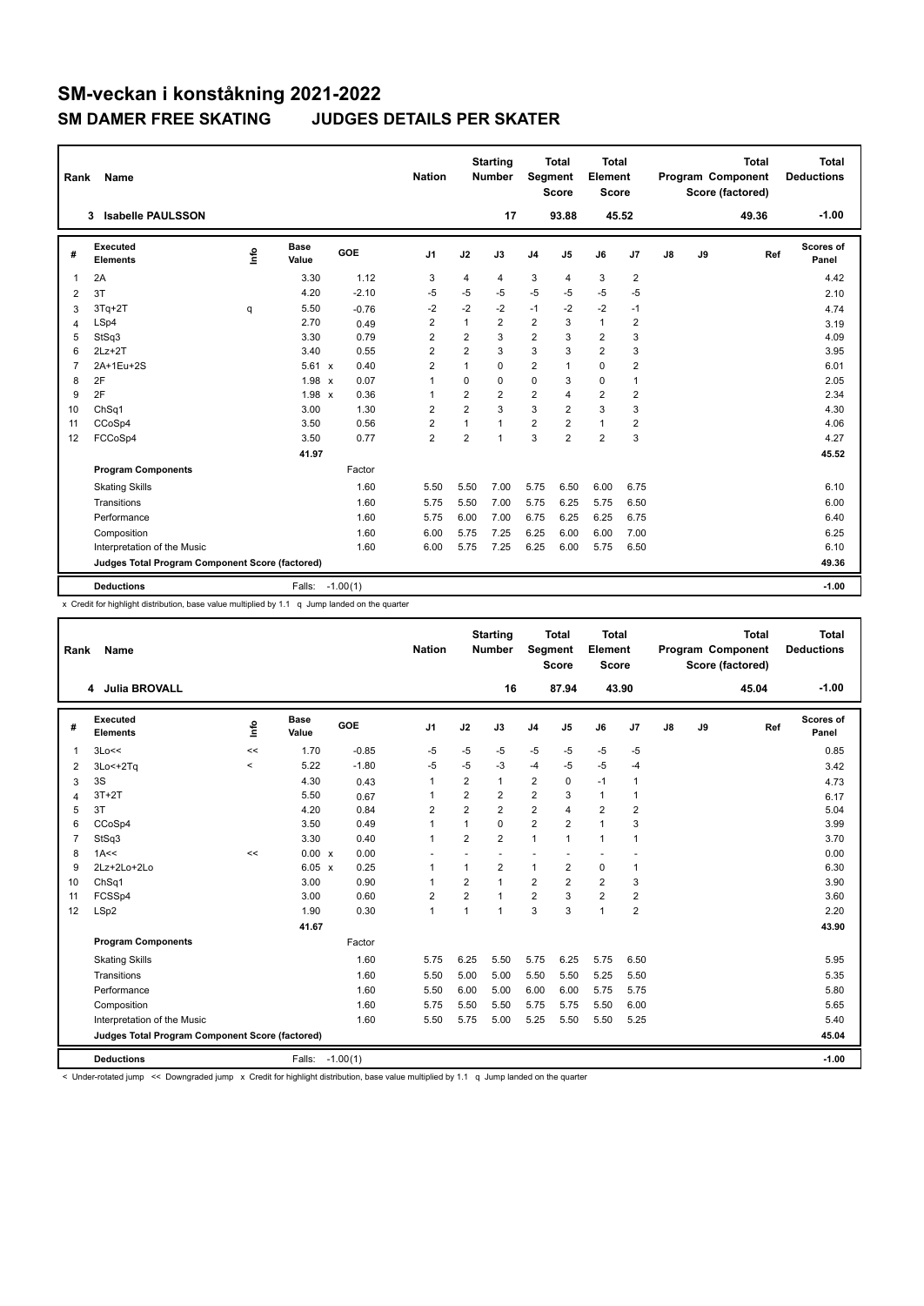| Rank           | Name                                            |             |                      |            | <b>Nation</b>  |                         | <b>Starting</b><br><b>Number</b> | Segment        | <b>Total</b><br><b>Score</b> | Total<br>Element<br><b>Score</b> |                |    |    | <b>Total</b><br>Program Component<br>Score (factored) | Total<br><b>Deductions</b> |
|----------------|-------------------------------------------------|-------------|----------------------|------------|----------------|-------------------------|----------------------------------|----------------|------------------------------|----------------------------------|----------------|----|----|-------------------------------------------------------|----------------------------|
|                | <b>Isabelle PAULSSON</b><br>3                   |             |                      |            |                |                         | 17                               |                | 93.88                        |                                  | 45.52          |    |    | 49.36                                                 | $-1.00$                    |
| #              | Executed<br><b>Elements</b>                     | <u>info</u> | <b>Base</b><br>Value | GOE        | J <sub>1</sub> | J2                      | J3                               | J <sub>4</sub> | J5                           | J6                               | J7             | J8 | J9 | Ref                                                   | Scores of<br>Panel         |
| $\overline{1}$ | 2A                                              |             | 3.30                 | 1.12       | 3              | 4                       | 4                                | 3              | 4                            | 3                                | $\overline{2}$ |    |    |                                                       | 4.42                       |
| 2              | 3T                                              |             | 4.20                 | $-2.10$    | $-5$           | $-5$                    | $-5$                             | $-5$           | $-5$                         | $-5$                             | $-5$           |    |    |                                                       | 2.10                       |
| 3              | $3Tq+2T$                                        | q           | 5.50                 | $-0.76$    | $-2$           | $-2$                    | $-2$                             | $-1$           | $-2$                         | $-2$                             | $-1$           |    |    |                                                       | 4.74                       |
| $\overline{4}$ | LSp4                                            |             | 2.70                 | 0.49       | $\overline{2}$ | $\mathbf{1}$            | $\overline{2}$                   | $\overline{2}$ | 3                            | $\mathbf{1}$                     | $\overline{2}$ |    |    |                                                       | 3.19                       |
| 5              | StSq3                                           |             | 3.30                 | 0.79       | $\overline{2}$ | $\overline{\mathbf{c}}$ | 3                                | $\overline{2}$ | 3                            | $\overline{\mathbf{c}}$          | 3              |    |    |                                                       | 4.09                       |
| 6              | $2Lz+2T$                                        |             | 3.40                 | 0.55       | $\overline{2}$ | $\overline{2}$          | 3                                | 3              | 3                            | $\overline{2}$                   | 3              |    |    |                                                       | 3.95                       |
| $\overline{7}$ | 2A+1Eu+2S                                       |             | $5.61 \times$        | 0.40       | $\overline{2}$ | $\mathbf{1}$            | $\Omega$                         | $\overline{2}$ | 1                            | $\Omega$                         | $\overline{2}$ |    |    |                                                       | 6.01                       |
| 8              | 2F                                              |             | 1.98 x               | 0.07       | 1              | 0                       | 0                                | $\mathbf 0$    | 3                            | 0                                | $\mathbf{1}$   |    |    |                                                       | 2.05                       |
| 9              | 2F                                              |             | 1.98 x               | 0.36       | $\mathbf{1}$   | $\overline{2}$          | $\overline{2}$                   | $\overline{2}$ | 4                            | $\overline{2}$                   | $\overline{2}$ |    |    |                                                       | 2.34                       |
| 10             | ChSq1                                           |             | 3.00                 | 1.30       | $\overline{2}$ | $\overline{2}$          | 3                                | 3              | 2                            | 3                                | 3              |    |    |                                                       | 4.30                       |
| 11             | CCoSp4                                          |             | 3.50                 | 0.56       | $\overline{2}$ | 1                       | $\mathbf{1}$                     | $\overline{2}$ | 2                            | $\mathbf{1}$                     | $\overline{2}$ |    |    |                                                       | 4.06                       |
| 12             | FCCoSp4                                         |             | 3.50                 | 0.77       | $\overline{2}$ | $\overline{2}$          | 1                                | 3              | $\overline{2}$               | $\overline{2}$                   | 3              |    |    |                                                       | 4.27                       |
|                |                                                 |             | 41.97                |            |                |                         |                                  |                |                              |                                  |                |    |    |                                                       | 45.52                      |
|                | <b>Program Components</b>                       |             |                      | Factor     |                |                         |                                  |                |                              |                                  |                |    |    |                                                       |                            |
|                | <b>Skating Skills</b>                           |             |                      | 1.60       | 5.50           | 5.50                    | 7.00                             | 5.75           | 6.50                         | 6.00                             | 6.75           |    |    |                                                       | 6.10                       |
|                | Transitions                                     |             |                      | 1.60       | 5.75           | 5.50                    | 7.00                             | 5.75           | 6.25                         | 5.75                             | 6.50           |    |    |                                                       | 6.00                       |
|                | Performance                                     |             |                      | 1.60       | 5.75           | 6.00                    | 7.00                             | 6.75           | 6.25                         | 6.25                             | 6.75           |    |    |                                                       | 6.40                       |
|                | Composition                                     |             |                      | 1.60       | 6.00           | 5.75                    | 7.25                             | 6.25           | 6.00                         | 6.00                             | 7.00           |    |    |                                                       | 6.25                       |
|                | Interpretation of the Music                     |             |                      | 1.60       | 6.00           | 5.75                    | 7.25                             | 6.25           | 6.00                         | 5.75                             | 6.50           |    |    |                                                       | 6.10                       |
|                | Judges Total Program Component Score (factored) |             |                      |            |                |                         |                                  |                |                              |                                  |                |    |    |                                                       | 49.36                      |
|                | <b>Deductions</b>                               |             | Falls:               | $-1.00(1)$ |                |                         |                                  |                |                              |                                  |                |    |    |                                                       | $-1.00$                    |

x Credit for highlight distribution, base value multiplied by 1.1 q Jump landed on the quarter

| Rank | Name                                            |          |                      |            | <b>Nation</b>            |                         | <b>Starting</b><br><b>Number</b> | Segment        | <b>Total</b><br><b>Score</b> | <b>Total</b><br>Element<br><b>Score</b> |                |    |    | <b>Total</b><br>Program Component<br>Score (factored) | <b>Total</b><br><b>Deductions</b> |
|------|-------------------------------------------------|----------|----------------------|------------|--------------------------|-------------------------|----------------------------------|----------------|------------------------------|-----------------------------------------|----------------|----|----|-------------------------------------------------------|-----------------------------------|
|      | <b>Julia BROVALL</b><br>4                       |          |                      |            |                          |                         | 16                               |                | 87.94                        | 43.90                                   |                |    |    | 45.04                                                 | $-1.00$                           |
| #    | Executed<br><b>Elements</b>                     | ١m       | <b>Base</b><br>Value | GOE        | J <sub>1</sub>           | J2                      | J3                               | J <sub>4</sub> | J <sub>5</sub>               | J6                                      | J <sub>7</sub> | J8 | J9 | Ref                                                   | Scores of<br>Panel                |
| 1    | 3Lo<<                                           | <<       | 1.70                 | $-0.85$    | -5                       | $-5$                    | $-5$                             | $-5$           | $-5$                         | $-5$                                    | $-5$           |    |    |                                                       | 0.85                              |
| 2    | $3Lo < +2Tq$                                    | $\hat{}$ | 5.22                 | $-1.80$    | -5                       | $-5$                    | $-3$                             | $-4$           | $-5$                         | $-5$                                    | $-4$           |    |    |                                                       | 3.42                              |
| 3    | 3S                                              |          | 4.30                 | 0.43       | $\mathbf{1}$             | $\overline{2}$          | $\mathbf{1}$                     | $\overline{2}$ | $\mathbf 0$                  | $-1$                                    | $\mathbf 1$    |    |    |                                                       | 4.73                              |
| 4    | $3T+2T$                                         |          | 5.50                 | 0.67       | 1                        | $\overline{2}$          | $\overline{2}$                   | $\overline{2}$ | 3                            | $\mathbf{1}$                            | $\mathbf{1}$   |    |    |                                                       | 6.17                              |
| 5    | 3T                                              |          | 4.20                 | 0.84       | $\overline{\mathbf{c}}$  | $\overline{\mathbf{c}}$ | $\overline{2}$                   | $\overline{2}$ | $\overline{4}$               | 2                                       | $\overline{2}$ |    |    |                                                       | 5.04                              |
| 6    | CCoSp4                                          |          | 3.50                 | 0.49       | $\mathbf{1}$             | $\mathbf{1}$            | 0                                | $\overline{2}$ | $\overline{2}$               | $\mathbf{1}$                            | 3              |    |    |                                                       | 3.99                              |
| 7    | StSq3                                           |          | 3.30                 | 0.40       | $\mathbf{1}$             | $\overline{2}$          | $\overline{2}$                   | $\mathbf{1}$   | $\mathbf{1}$                 | $\mathbf{1}$                            | $\overline{1}$ |    |    |                                                       | 3.70                              |
| 8    | 1A<<                                            | <<       | 0.00 x               | 0.00       | $\overline{\phantom{a}}$ |                         |                                  | ÷              |                              |                                         |                |    |    |                                                       | 0.00                              |
| 9    | 2Lz+2Lo+2Lo                                     |          | $6.05 \times$        | 0.25       | $\mathbf{1}$             | $\mathbf{1}$            | $\overline{2}$                   | $\mathbf{1}$   | $\overline{2}$               | 0                                       | $\mathbf{1}$   |    |    |                                                       | 6.30                              |
| 10   | ChSq1                                           |          | 3.00                 | 0.90       | $\mathbf 1$              | $\overline{2}$          | 1                                | $\overline{2}$ | $\overline{2}$               | $\overline{2}$                          | 3              |    |    |                                                       | 3.90                              |
| 11   | FCSSp4                                          |          | 3.00                 | 0.60       | $\overline{2}$           | $\overline{2}$          | 1                                | $\overline{2}$ | 3                            | 2                                       | $\overline{2}$ |    |    |                                                       | 3.60                              |
| 12   | LSp2                                            |          | 1.90                 | 0.30       | $\mathbf{1}$             | $\overline{1}$          | $\mathbf{1}$                     | 3              | 3                            | 1                                       | $\overline{2}$ |    |    |                                                       | 2.20                              |
|      |                                                 |          | 41.67                |            |                          |                         |                                  |                |                              |                                         |                |    |    |                                                       | 43.90                             |
|      | <b>Program Components</b>                       |          |                      | Factor     |                          |                         |                                  |                |                              |                                         |                |    |    |                                                       |                                   |
|      | <b>Skating Skills</b>                           |          |                      | 1.60       | 5.75                     | 6.25                    | 5.50                             | 5.75           | 6.25                         | 5.75                                    | 6.50           |    |    |                                                       | 5.95                              |
|      | Transitions                                     |          |                      | 1.60       | 5.50                     | 5.00                    | 5.00                             | 5.50           | 5.50                         | 5.25                                    | 5.50           |    |    |                                                       | 5.35                              |
|      | Performance                                     |          |                      | 1.60       | 5.50                     | 6.00                    | 5.00                             | 6.00           | 6.00                         | 5.75                                    | 5.75           |    |    |                                                       | 5.80                              |
|      | Composition                                     |          |                      | 1.60       | 5.75                     | 5.50                    | 5.50                             | 5.75           | 5.75                         | 5.50                                    | 6.00           |    |    |                                                       | 5.65                              |
|      | Interpretation of the Music                     |          |                      | 1.60       | 5.50                     | 5.75                    | 5.00                             | 5.25           | 5.50                         | 5.50                                    | 5.25           |    |    |                                                       | 5.40                              |
|      | Judges Total Program Component Score (factored) |          |                      |            |                          |                         |                                  |                |                              |                                         |                |    |    |                                                       | 45.04                             |
|      | <b>Deductions</b>                               |          | Falls:               | $-1.00(1)$ |                          |                         |                                  |                |                              |                                         |                |    |    |                                                       | $-1.00$                           |

< Under-rotated jump << Downgraded jump x Credit for highlight distribution, base value multiplied by 1.1 q Jump landed on the quarter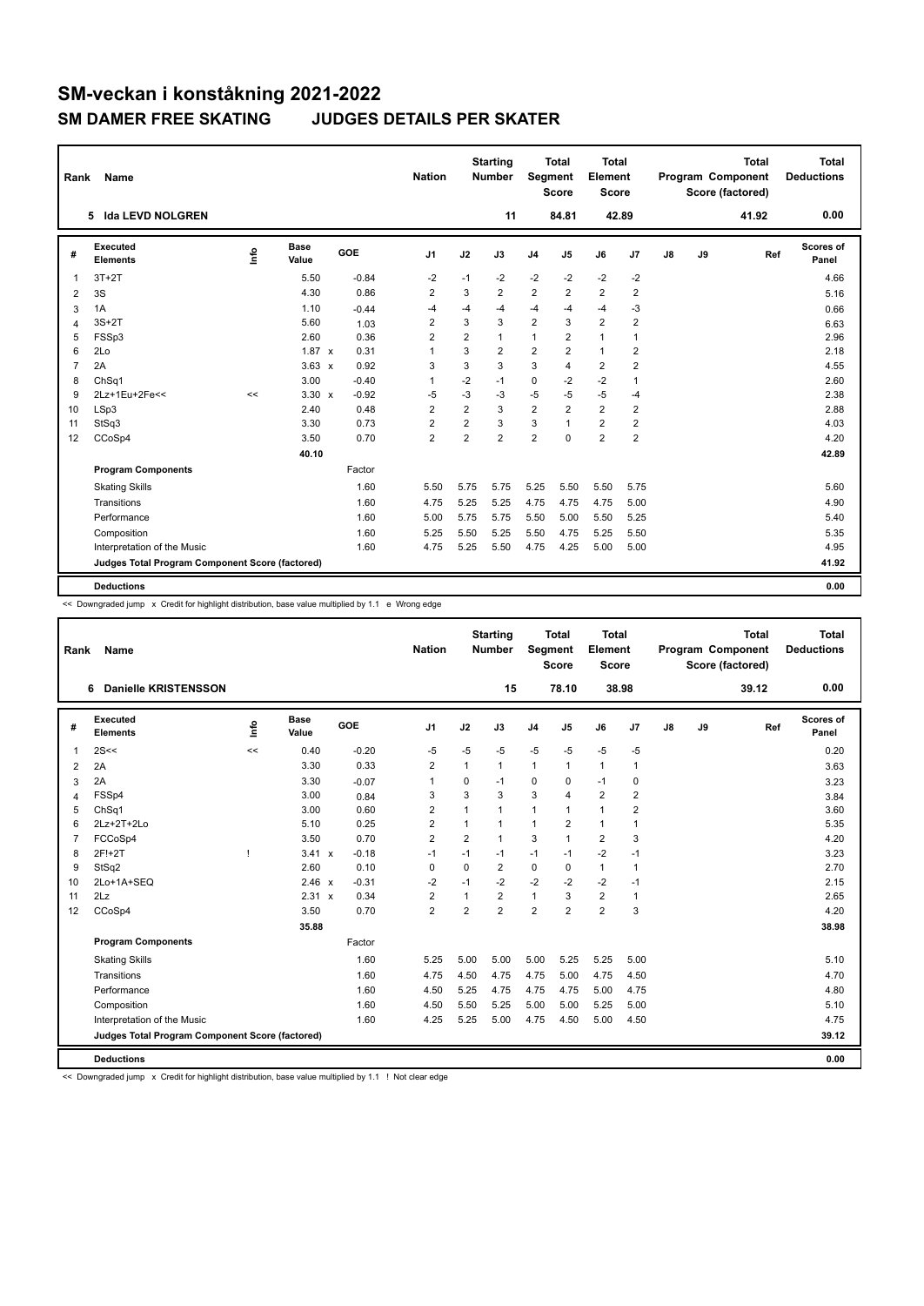| Rank           | <b>Name</b>                                     |    |                      |         | <b>Nation</b>           |                | <b>Starting</b><br><b>Number</b> | Segment        | <b>Total</b><br><b>Score</b> | <b>Total</b><br>Element<br><b>Score</b> |                         |               |    | <b>Total</b><br>Program Component<br>Score (factored) | <b>Total</b><br><b>Deductions</b> |
|----------------|-------------------------------------------------|----|----------------------|---------|-------------------------|----------------|----------------------------------|----------------|------------------------------|-----------------------------------------|-------------------------|---------------|----|-------------------------------------------------------|-----------------------------------|
|                | <b>Ida LEVD NOLGREN</b><br>5.                   |    |                      |         |                         |                | 11                               |                | 84.81                        | 42.89                                   |                         |               |    | 41.92                                                 | 0.00                              |
| #              | Executed<br><b>Elements</b>                     | ۴ô | <b>Base</b><br>Value | GOE     | J <sub>1</sub>          | J2             | J3                               | J <sub>4</sub> | J <sub>5</sub>               | J6                                      | J <sub>7</sub>          | $\mathsf{J}8$ | J9 | Ref                                                   | <b>Scores of</b><br>Panel         |
| $\overline{1}$ | $3T+2T$                                         |    | 5.50                 | $-0.84$ | $-2$                    | $-1$           | $-2$                             | $-2$           | $-2$                         | $-2$                                    | $-2$                    |               |    |                                                       | 4.66                              |
| 2              | 3S                                              |    | 4.30                 | 0.86    | $\overline{2}$          | 3              | $\overline{2}$                   | $\overline{2}$ | $\overline{2}$               | $\overline{2}$                          | $\overline{2}$          |               |    |                                                       | 5.16                              |
| 3              | 1A                                              |    | 1.10                 | $-0.44$ | $-4$                    | $-4$           | $-4$                             | $-4$           | $-4$                         | $-4$                                    | $-3$                    |               |    |                                                       | 0.66                              |
| 4              | $3S+2T$                                         |    | 5.60                 | 1.03    | $\overline{2}$          | 3              | 3                                | $\overline{2}$ | 3                            | $\overline{2}$                          | $\overline{2}$          |               |    |                                                       | 6.63                              |
| 5              | FSSp3                                           |    | 2.60                 | 0.36    | $\overline{\mathbf{c}}$ | $\overline{2}$ | 1                                | $\mathbf{1}$   | $\overline{2}$               | 1                                       | $\mathbf{1}$            |               |    |                                                       | 2.96                              |
| 6              | 2Lo                                             |    | $1.87 \times$        | 0.31    | 1                       | 3              | $\overline{2}$                   | $\overline{2}$ | $\overline{2}$               | $\mathbf{1}$                            | $\overline{2}$          |               |    |                                                       | 2.18                              |
| $\overline{7}$ | 2A                                              |    | $3.63 \times$        | 0.92    | 3                       | 3              | 3                                | 3              | 4                            | $\overline{2}$                          | $\overline{2}$          |               |    |                                                       | 4.55                              |
| 8              | ChSq1                                           |    | 3.00                 | $-0.40$ | $\mathbf{1}$            | $-2$           | $-1$                             | $\mathbf 0$    | $-2$                         | $-2$                                    | $\overline{1}$          |               |    |                                                       | 2.60                              |
| 9              | 2Lz+1Eu+2Fe<<                                   | << | $3.30 \times$        | $-0.92$ | $-5$                    | $-3$           | -3                               | $-5$           | $-5$                         | $-5$                                    | $-4$                    |               |    |                                                       | 2.38                              |
| 10             | LSp3                                            |    | 2.40                 | 0.48    | $\overline{2}$          | $\overline{2}$ | 3                                | $\overline{2}$ | $\overline{2}$               | $\overline{2}$                          | $\overline{2}$          |               |    |                                                       | 2.88                              |
| 11             | StSq3                                           |    | 3.30                 | 0.73    | $\overline{\mathbf{c}}$ | $\overline{2}$ | 3                                | 3              | 1                            | 2                                       | $\overline{\mathbf{c}}$ |               |    |                                                       | 4.03                              |
| 12             | CCoSp4                                          |    | 3.50                 | 0.70    | $\overline{2}$          | $\overline{2}$ | $\overline{2}$                   | $\overline{2}$ | $\Omega$                     | $\overline{2}$                          | $\overline{2}$          |               |    |                                                       | 4.20                              |
|                |                                                 |    | 40.10                |         |                         |                |                                  |                |                              |                                         |                         |               |    |                                                       | 42.89                             |
|                | <b>Program Components</b>                       |    |                      | Factor  |                         |                |                                  |                |                              |                                         |                         |               |    |                                                       |                                   |
|                | <b>Skating Skills</b>                           |    |                      | 1.60    | 5.50                    | 5.75           | 5.75                             | 5.25           | 5.50                         | 5.50                                    | 5.75                    |               |    |                                                       | 5.60                              |
|                | Transitions                                     |    |                      | 1.60    | 4.75                    | 5.25           | 5.25                             | 4.75           | 4.75                         | 4.75                                    | 5.00                    |               |    |                                                       | 4.90                              |
|                | Performance                                     |    |                      | 1.60    | 5.00                    | 5.75           | 5.75                             | 5.50           | 5.00                         | 5.50                                    | 5.25                    |               |    |                                                       | 5.40                              |
|                | Composition                                     |    |                      | 1.60    | 5.25                    | 5.50           | 5.25                             | 5.50           | 4.75                         | 5.25                                    | 5.50                    |               |    |                                                       | 5.35                              |
|                | Interpretation of the Music                     |    |                      | 1.60    | 4.75                    | 5.25           | 5.50                             | 4.75           | 4.25                         | 5.00                                    | 5.00                    |               |    |                                                       | 4.95                              |
|                | Judges Total Program Component Score (factored) |    |                      |         |                         |                |                                  |                |                              |                                         |                         |               |    |                                                       | 41.92                             |
|                | <b>Deductions</b>                               |    |                      |         |                         |                |                                  |                |                              |                                         |                         |               |    |                                                       | 0.00                              |

<< Downgraded jump x Credit for highlight distribution, base value multiplied by 1.1 e Wrong edge

| Rank | Name                                            |    |                      |         | <b>Nation</b>           |                | <b>Starting</b><br><b>Number</b> | Segment        | <b>Total</b><br><b>Score</b> | <b>Total</b><br>Element<br><b>Score</b> |                |    |    | <b>Total</b><br>Program Component<br>Score (factored) | <b>Total</b><br><b>Deductions</b> |
|------|-------------------------------------------------|----|----------------------|---------|-------------------------|----------------|----------------------------------|----------------|------------------------------|-----------------------------------------|----------------|----|----|-------------------------------------------------------|-----------------------------------|
|      | <b>Danielle KRISTENSSON</b><br>6                |    |                      |         |                         |                | 15                               |                | 78.10                        |                                         | 38.98          |    |    | 39.12                                                 | 0.00                              |
| #    | Executed<br><b>Elements</b>                     | ١m | <b>Base</b><br>Value | GOE     | J <sub>1</sub>          | J2             | J3                               | J <sub>4</sub> | J <sub>5</sub>               | J6                                      | J7             | J8 | J9 | Ref                                                   | Scores of<br>Panel                |
| 1    | 2S <                                            | << | 0.40                 | $-0.20$ | -5                      | $-5$           | $-5$                             | $-5$           | $-5$                         | $-5$                                    | -5             |    |    |                                                       | 0.20                              |
| 2    | 2A                                              |    | 3.30                 | 0.33    | $\overline{\mathbf{c}}$ | 1              | $\mathbf{1}$                     | $\mathbf{1}$   | 1                            | $\mathbf{1}$                            | $\mathbf{1}$   |    |    |                                                       | 3.63                              |
| 3    | 2A                                              |    | 3.30                 | $-0.07$ | $\mathbf{1}$            | 0              | $-1$                             | 0              | $\Omega$                     | $-1$                                    | 0              |    |    |                                                       | 3.23                              |
| 4    | FSSp4                                           |    | 3.00                 | 0.84    | 3                       | 3              | 3                                | 3              | 4                            | $\overline{2}$                          | $\overline{2}$ |    |    |                                                       | 3.84                              |
| 5    | ChSq1                                           |    | 3.00                 | 0.60    | $\overline{2}$          | 1              | $\mathbf{1}$                     | $\mathbf{1}$   | 1                            | $\mathbf{1}$                            | $\overline{2}$ |    |    |                                                       | 3.60                              |
| 6    | 2Lz+2T+2Lo                                      |    | 5.10                 | 0.25    | $\overline{2}$          | 1              | 1                                | $\mathbf{1}$   | $\overline{2}$               | $\mathbf{1}$                            | $\mathbf{1}$   |    |    |                                                       | 5.35                              |
| 7    | FCCoSp4                                         |    | 3.50                 | 0.70    | $\overline{2}$          | $\overline{2}$ | 1                                | 3              | 1                            | $\overline{2}$                          | 3              |    |    |                                                       | 4.20                              |
| 8    | 2F!+2T                                          | J  | $3.41 \times$        | $-0.18$ | $-1$                    | $-1$           | $-1$                             | $-1$           | $-1$                         | $-2$                                    | $-1$           |    |    |                                                       | 3.23                              |
| 9    | StSq2                                           |    | 2.60                 | 0.10    | 0                       | 0              | $\overline{2}$                   | $\mathbf 0$    | 0                            | $\mathbf{1}$                            | $\mathbf{1}$   |    |    |                                                       | 2.70                              |
| 10   | 2Lo+1A+SEQ                                      |    | $2.46 \times$        | $-0.31$ | $-2$                    | $-1$           | $-2$                             | $-2$           | $-2$                         | $-2$                                    | -1             |    |    |                                                       | 2.15                              |
| 11   | 2Lz                                             |    | 2.31 x               | 0.34    | $\overline{2}$          | 1              | $\overline{2}$                   | $\mathbf{1}$   | 3                            | $\overline{2}$                          | $\mathbf{1}$   |    |    |                                                       | 2.65                              |
| 12   | CCoSp4                                          |    | 3.50                 | 0.70    | $\overline{2}$          | $\overline{2}$ | $\overline{2}$                   | $\overline{2}$ | $\overline{2}$               | $\overline{2}$                          | 3              |    |    |                                                       | 4.20                              |
|      |                                                 |    | 35.88                |         |                         |                |                                  |                |                              |                                         |                |    |    |                                                       | 38.98                             |
|      | <b>Program Components</b>                       |    |                      | Factor  |                         |                |                                  |                |                              |                                         |                |    |    |                                                       |                                   |
|      | <b>Skating Skills</b>                           |    |                      | 1.60    | 5.25                    | 5.00           | 5.00                             | 5.00           | 5.25                         | 5.25                                    | 5.00           |    |    |                                                       | 5.10                              |
|      | Transitions                                     |    |                      | 1.60    | 4.75                    | 4.50           | 4.75                             | 4.75           | 5.00                         | 4.75                                    | 4.50           |    |    |                                                       | 4.70                              |
|      | Performance                                     |    |                      | 1.60    | 4.50                    | 5.25           | 4.75                             | 4.75           | 4.75                         | 5.00                                    | 4.75           |    |    |                                                       | 4.80                              |
|      | Composition                                     |    |                      | 1.60    | 4.50                    | 5.50           | 5.25                             | 5.00           | 5.00                         | 5.25                                    | 5.00           |    |    |                                                       | 5.10                              |
|      | Interpretation of the Music                     |    |                      | 1.60    | 4.25                    | 5.25           | 5.00                             | 4.75           | 4.50                         | 5.00                                    | 4.50           |    |    |                                                       | 4.75                              |
|      | Judges Total Program Component Score (factored) |    |                      |         |                         |                |                                  |                |                              |                                         |                |    |    |                                                       | 39.12                             |
|      | <b>Deductions</b>                               |    |                      |         |                         |                |                                  |                |                              |                                         |                |    |    |                                                       | 0.00                              |

<< Downgraded jump x Credit for highlight distribution, base value multiplied by 1.1 ! Not clear edge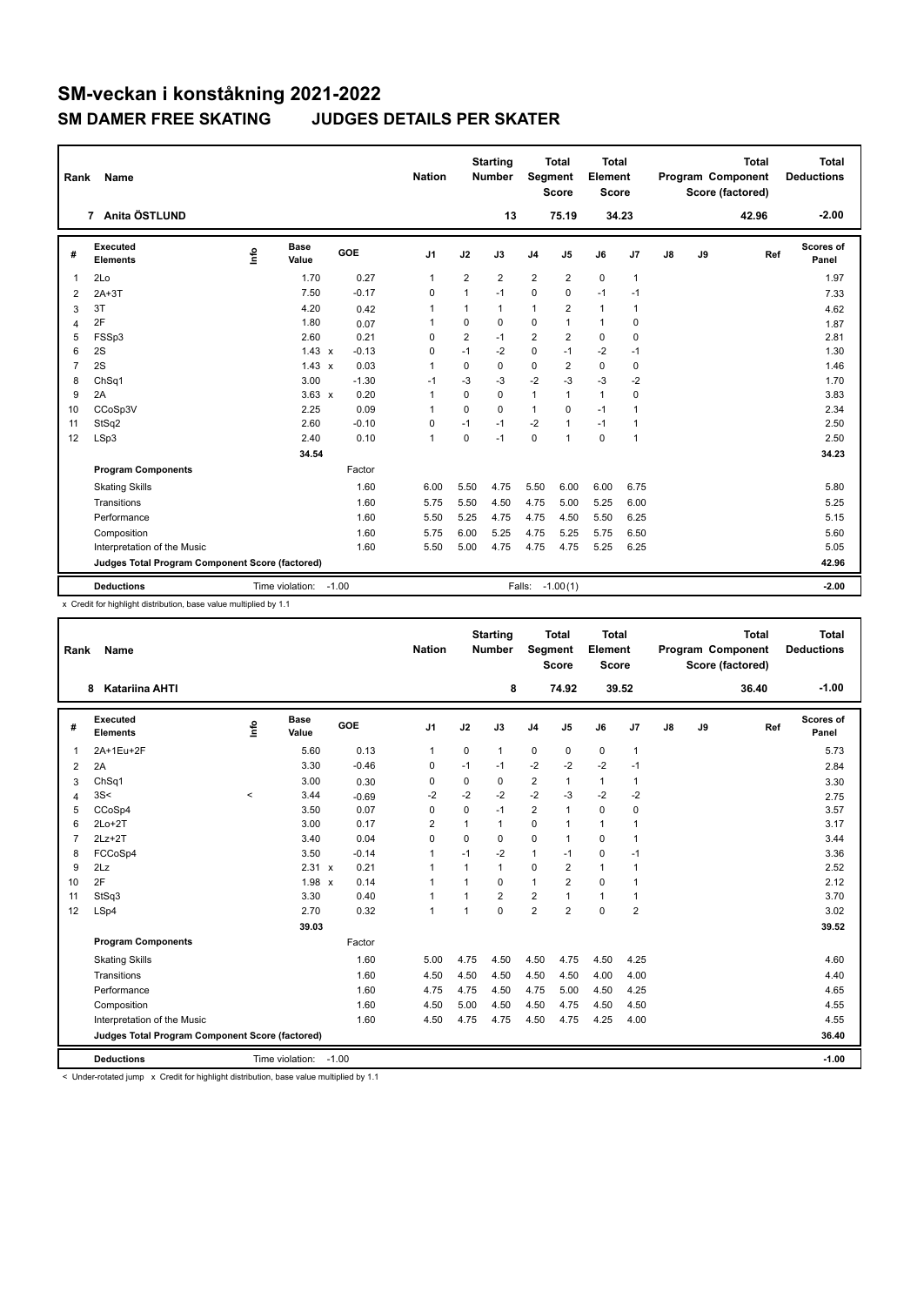| Rank           | <b>Name</b>                                     |      | <b>Nation</b>         |         | <b>Starting</b><br><b>Number</b> | Segment        | <b>Total</b><br><b>Score</b> | <b>Total</b><br>Element<br><b>Score</b> |                         |              |                | <b>Total</b><br>Program Component<br>Score (factored) | Total<br><b>Deductions</b> |       |                           |
|----------------|-------------------------------------------------|------|-----------------------|---------|----------------------------------|----------------|------------------------------|-----------------------------------------|-------------------------|--------------|----------------|-------------------------------------------------------|----------------------------|-------|---------------------------|
|                | 7 Anita ÖSTLUND                                 |      |                       |         |                                  |                | 13                           |                                         | 75.19                   |              | 34.23          |                                                       |                            | 42.96 | $-2.00$                   |
| #              | Executed<br><b>Elements</b>                     | ١nfo | <b>Base</b><br>Value  | GOE     | J <sub>1</sub>                   | J2             | J3                           | J <sub>4</sub>                          | J5                      | J6           | J7             | $\mathsf{J}8$                                         | J9                         | Ref   | <b>Scores of</b><br>Panel |
| $\overline{1}$ | 2Lo                                             |      | 1.70                  | 0.27    | $\mathbf{1}$                     | $\overline{2}$ | 2                            | $\overline{2}$                          | $\overline{2}$          | 0            | $\overline{1}$ |                                                       |                            |       | 1.97                      |
| 2              | $2A+3T$                                         |      | 7.50                  | $-0.17$ | $\mathbf 0$                      | 1              | $-1$                         | $\mathbf 0$                             | $\Omega$                | $-1$         | $-1$           |                                                       |                            |       | 7.33                      |
| 3              | 3T                                              |      | 4.20                  | 0.42    | 1                                | 1              | 1                            | $\mathbf{1}$                            | $\overline{\mathbf{c}}$ | $\mathbf{1}$ | $\mathbf{1}$   |                                                       |                            |       | 4.62                      |
| $\overline{4}$ | 2F                                              |      | 1.80                  | 0.07    | $\mathbf{1}$                     | $\Omega$       | $\Omega$                     | $\mathbf 0$                             | $\mathbf{1}$            | $\mathbf{1}$ | $\mathbf 0$    |                                                       |                            |       | 1.87                      |
| 5              | FSSp3                                           |      | 2.60                  | 0.21    | $\mathbf 0$                      | $\overline{2}$ | $-1$                         | $\overline{2}$                          | $\overline{2}$          | 0            | $\mathbf 0$    |                                                       |                            |       | 2.81                      |
| 6              | 2S                                              |      | $1.43 \times$         | $-0.13$ | 0                                | $-1$           | $-2$                         | 0                                       | $-1$                    | $-2$         | $-1$           |                                                       |                            |       | 1.30                      |
| $\overline{7}$ | 2S                                              |      | $1.43 \times$         | 0.03    | $\overline{1}$                   | $\Omega$       | 0                            | 0                                       | 2                       | $\Omega$     | 0              |                                                       |                            |       | 1.46                      |
| 8              | Ch <sub>Sq1</sub>                               |      | 3.00                  | $-1.30$ | $-1$                             | $-3$           | $-3$                         | $-2$                                    | $-3$                    | $-3$         | $-2$           |                                                       |                            |       | 1.70                      |
| 9              | 2A                                              |      | $3.63 \times$         | 0.20    | $\mathbf{1}$                     | $\Omega$       | $\Omega$                     | $\mathbf{1}$                            | 1                       | $\mathbf{1}$ | $\mathbf 0$    |                                                       |                            |       | 3.83                      |
| 10             | CCoSp3V                                         |      | 2.25                  | 0.09    | $\mathbf{1}$                     | 0              | $\Omega$                     | $\mathbf{1}$                            | 0                       | $-1$         | $\mathbf{1}$   |                                                       |                            |       | 2.34                      |
| 11             | StSq2                                           |      | 2.60                  | $-0.10$ | 0                                | $-1$           | $-1$                         | $-2$                                    | $\mathbf{1}$            | $-1$         | $\mathbf{1}$   |                                                       |                            |       | 2.50                      |
| 12             | LSp3                                            |      | 2.40                  | 0.10    | $\mathbf{1}$                     | $\Omega$       | $-1$                         | $\Omega$                                | $\mathbf{1}$            | $\Omega$     | $\mathbf{1}$   |                                                       |                            |       | 2.50                      |
|                |                                                 |      | 34.54                 |         |                                  |                |                              |                                         |                         |              |                |                                                       |                            |       | 34.23                     |
|                | <b>Program Components</b>                       |      |                       | Factor  |                                  |                |                              |                                         |                         |              |                |                                                       |                            |       |                           |
|                | <b>Skating Skills</b>                           |      |                       | 1.60    | 6.00                             | 5.50           | 4.75                         | 5.50                                    | 6.00                    | 6.00         | 6.75           |                                                       |                            |       | 5.80                      |
|                | Transitions                                     |      |                       | 1.60    | 5.75                             | 5.50           | 4.50                         | 4.75                                    | 5.00                    | 5.25         | 6.00           |                                                       |                            |       | 5.25                      |
|                | Performance                                     |      |                       | 1.60    | 5.50                             | 5.25           | 4.75                         | 4.75                                    | 4.50                    | 5.50         | 6.25           |                                                       |                            |       | 5.15                      |
|                | Composition                                     |      |                       | 1.60    | 5.75                             | 6.00           | 5.25                         | 4.75                                    | 5.25                    | 5.75         | 6.50           |                                                       |                            |       | 5.60                      |
|                | Interpretation of the Music                     |      |                       | 1.60    | 5.50                             | 5.00           | 4.75                         | 4.75                                    | 4.75                    | 5.25         | 6.25           |                                                       |                            |       | 5.05                      |
|                | Judges Total Program Component Score (factored) |      |                       |         |                                  |                |                              |                                         |                         |              |                |                                                       |                            |       | 42.96                     |
|                | <b>Deductions</b>                               |      | Time violation: -1.00 |         |                                  |                |                              | Falls: -1.00(1)                         |                         |              |                |                                                       |                            |       | $-2.00$                   |

x Credit for highlight distribution, base value multiplied by 1.1

| Rank           | Name                                            |       |                 |         | <b>Nation</b>  |                | <b>Starting</b><br><b>Number</b> | Segment        | <b>Total</b><br><b>Score</b> | <b>Total</b><br>Element<br>Score |                |    |    | <b>Total</b><br>Program Component<br>Score (factored) | <b>Total</b><br><b>Deductions</b> |
|----------------|-------------------------------------------------|-------|-----------------|---------|----------------|----------------|----------------------------------|----------------|------------------------------|----------------------------------|----------------|----|----|-------------------------------------------------------|-----------------------------------|
|                | <b>Katariina AHTI</b><br>8                      |       |                 |         |                |                | 8                                |                | 74.92                        |                                  | 39.52          |    |    | 36.40                                                 | $-1.00$                           |
| #              | Executed<br><b>Elements</b>                     | ١m    | Base<br>Value   | GOE     | J <sub>1</sub> | J2             | J3                               | J <sub>4</sub> | J <sub>5</sub>               | J6                               | J <sub>7</sub> | J8 | J9 | Ref                                                   | Scores of<br>Panel                |
| $\mathbf{1}$   | 2A+1Eu+2F                                       |       | 5.60            | 0.13    | $\mathbf 1$    | 0              | $\mathbf{1}$                     | $\mathbf 0$    | 0                            | $\mathbf 0$                      | $\overline{1}$ |    |    |                                                       | 5.73                              |
| 2              | 2A                                              |       | 3.30            | $-0.46$ | 0              | $-1$           | $-1$                             | $-2$           | $-2$                         | $-2$                             | $-1$           |    |    |                                                       | 2.84                              |
| 3              | ChSq1                                           |       | 3.00            | 0.30    | 0              | 0              | 0                                | $\overline{2}$ | 1                            | $\mathbf{1}$                     | $\mathbf{1}$   |    |    |                                                       | 3.30                              |
| $\overline{4}$ | 3S<                                             | $\,<$ | 3.44            | $-0.69$ | $-2$           | $-2$           | $-2$                             | $-2$           | -3                           | $-2$                             | $-2$           |    |    |                                                       | 2.75                              |
| 5              | CCoSp4                                          |       | 3.50            | 0.07    | $\Omega$       | $\Omega$       | $-1$                             | $\overline{2}$ | 1                            | $\Omega$                         | $\Omega$       |    |    |                                                       | 3.57                              |
| 6              | $2Lo+2T$                                        |       | 3.00            | 0.17    | $\overline{2}$ | 1              | 1                                | $\mathbf 0$    | 1                            | $\mathbf{1}$                     | $\overline{1}$ |    |    |                                                       | 3.17                              |
| $\overline{7}$ | $2Lz+2T$                                        |       | 3.40            | 0.04    | 0              | 0              | 0                                | 0              | $\mathbf{1}$                 | 0                                | $\overline{1}$ |    |    |                                                       | 3.44                              |
| 8              | FCCoSp4                                         |       | 3.50            | $-0.14$ | $\mathbf{1}$   | $-1$           | $-2$                             | $\mathbf{1}$   | $-1$                         | $\Omega$                         | $-1$           |    |    |                                                       | 3.36                              |
| 9              | 2Lz                                             |       | 2.31 x          | 0.21    | 1              | 1              | 1                                | $\mathbf 0$    | $\overline{2}$               | $\mathbf{1}$                     | $\overline{1}$ |    |    |                                                       | 2.52                              |
| 10             | 2F                                              |       | $1.98 \times$   | 0.14    | 1              | $\overline{1}$ | 0                                | $\mathbf{1}$   | $\overline{2}$               | $\Omega$                         | $\overline{1}$ |    |    |                                                       | 2.12                              |
| 11             | StSq3                                           |       | 3.30            | 0.40    | $\mathbf{1}$   | $\overline{ }$ | $\overline{2}$                   | $\overline{2}$ | 1                            | $\mathbf{1}$                     | $\overline{1}$ |    |    |                                                       | 3.70                              |
| 12             | LSp4                                            |       | 2.70            | 0.32    | $\mathbf{1}$   | $\mathbf{1}$   | 0                                | $\overline{2}$ | $\overline{2}$               | $\mathbf 0$                      | $\overline{2}$ |    |    |                                                       | 3.02                              |
|                |                                                 |       | 39.03           |         |                |                |                                  |                |                              |                                  |                |    |    |                                                       | 39.52                             |
|                | <b>Program Components</b>                       |       |                 | Factor  |                |                |                                  |                |                              |                                  |                |    |    |                                                       |                                   |
|                | <b>Skating Skills</b>                           |       |                 | 1.60    | 5.00           | 4.75           | 4.50                             | 4.50           | 4.75                         | 4.50                             | 4.25           |    |    |                                                       | 4.60                              |
|                | Transitions                                     |       |                 | 1.60    | 4.50           | 4.50           | 4.50                             | 4.50           | 4.50                         | 4.00                             | 4.00           |    |    |                                                       | 4.40                              |
|                | Performance                                     |       |                 | 1.60    | 4.75           | 4.75           | 4.50                             | 4.75           | 5.00                         | 4.50                             | 4.25           |    |    |                                                       | 4.65                              |
|                | Composition                                     |       |                 | 1.60    | 4.50           | 5.00           | 4.50                             | 4.50           | 4.75                         | 4.50                             | 4.50           |    |    |                                                       | 4.55                              |
|                | Interpretation of the Music                     |       |                 | 1.60    | 4.50           | 4.75           | 4.75                             | 4.50           | 4.75                         | 4.25                             | 4.00           |    |    |                                                       | 4.55                              |
|                | Judges Total Program Component Score (factored) |       |                 |         |                |                |                                  |                |                              |                                  |                |    |    |                                                       | 36.40                             |
|                | <b>Deductions</b>                               |       | Time violation: | $-1.00$ |                |                |                                  |                |                              |                                  |                |    |    |                                                       | $-1.00$                           |

< Under-rotated jump x Credit for highlight distribution, base value multiplied by 1.1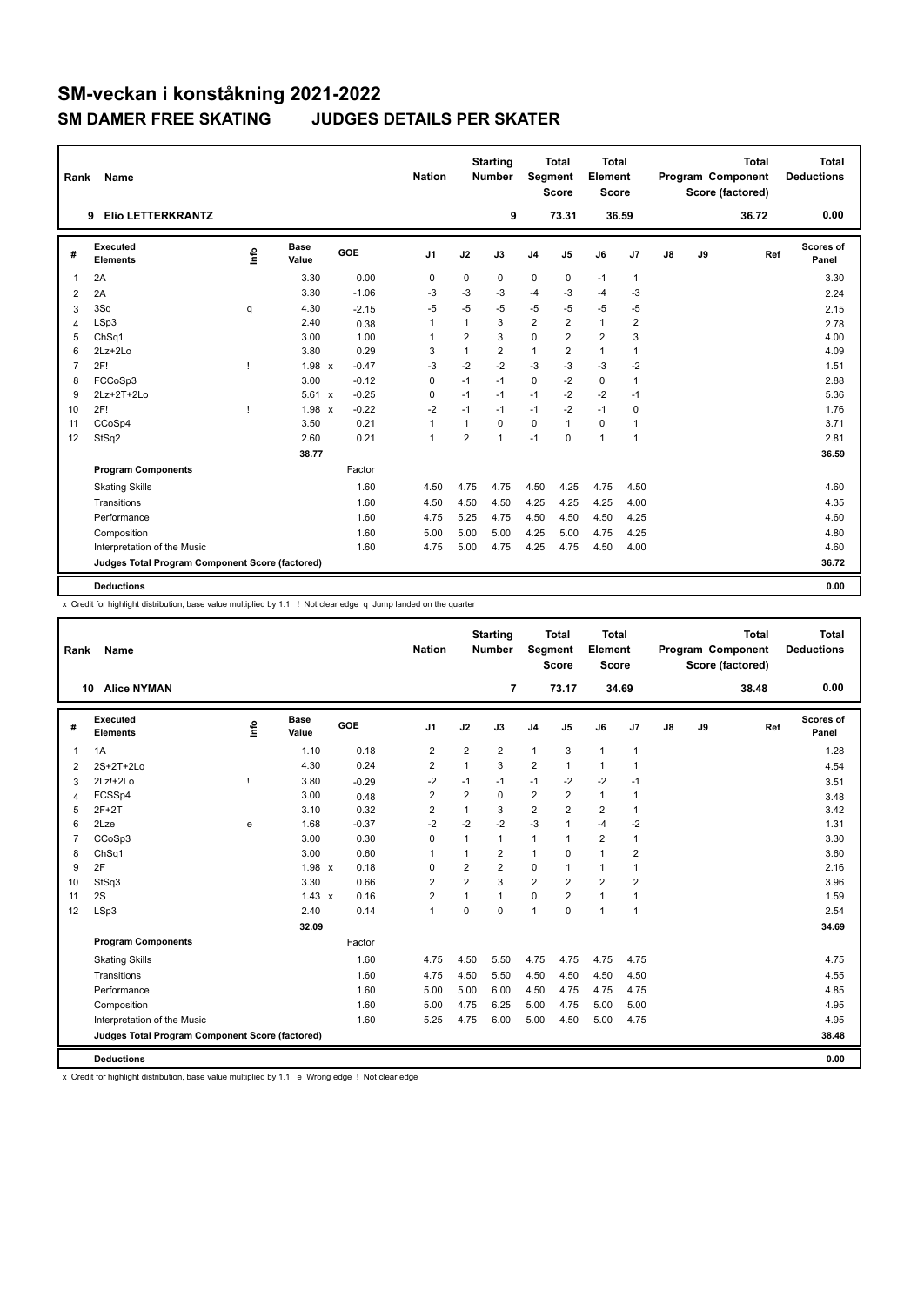| Rank           | <b>Name</b>                                     |      |                      |            | <b>Nation</b> |                | <b>Starting</b><br><b>Number</b> | Segment        | <b>Total</b><br><b>Score</b> | Total<br>Element<br><b>Score</b> |                |    |    | <b>Total</b><br>Program Component<br>Score (factored) | Total<br><b>Deductions</b> |
|----------------|-------------------------------------------------|------|----------------------|------------|---------------|----------------|----------------------------------|----------------|------------------------------|----------------------------------|----------------|----|----|-------------------------------------------------------|----------------------------|
|                | <b>Elio LETTERKRANTZ</b><br>9                   |      |                      |            |               |                | 9                                |                | 73.31                        |                                  | 36.59          |    |    | 36.72                                                 | 0.00                       |
| #              | <b>Executed</b><br><b>Elements</b>              | ١rfo | <b>Base</b><br>Value | <b>GOE</b> | J1            | J2             | J3                               | J <sub>4</sub> | J5                           | J6                               | J7             | J8 | J9 | Ref                                                   | <b>Scores of</b><br>Panel  |
| $\mathbf 1$    | 2A                                              |      | 3.30                 | 0.00       | 0             | 0              | 0                                | 0              | 0                            | $-1$                             | $\mathbf{1}$   |    |    |                                                       | 3.30                       |
| 2              | 2A                                              |      | 3.30                 | $-1.06$    | $-3$          | -3             | -3                               | $-4$           | -3                           | $-4$                             | -3             |    |    |                                                       | 2.24                       |
| 3              | 3Sq                                             | q    | 4.30                 | $-2.15$    | -5            | $-5$           | $-5$                             | $-5$           | $-5$                         | $-5$                             | $-5$           |    |    |                                                       | 2.15                       |
| 4              | LSp3                                            |      | 2.40                 | 0.38       | $\mathbf{1}$  | $\mathbf{1}$   | 3                                | $\overline{2}$ | $\overline{2}$               | 1                                | $\overline{2}$ |    |    |                                                       | 2.78                       |
| 5              | ChSq1                                           |      | 3.00                 | 1.00       | 1             | $\overline{2}$ | 3                                | $\mathbf 0$    | $\overline{2}$               | $\overline{2}$                   | 3              |    |    |                                                       | 4.00                       |
| 6              | $2Lz+2Lo$                                       |      | 3.80                 | 0.29       | 3             | $\mathbf{1}$   | $\overline{\mathbf{c}}$          | $\mathbf{1}$   | 2                            | 1                                | $\mathbf{1}$   |    |    |                                                       | 4.09                       |
| $\overline{7}$ | 2F!                                             |      | 1.98 x               | $-0.47$    | $-3$          | $-2$           | $-2$                             | $-3$           | $-3$                         | $-3$                             | $-2$           |    |    |                                                       | 1.51                       |
| 8              | FCCoSp3                                         |      | 3.00                 | $-0.12$    | 0             | $-1$           | $-1$                             | $\mathbf 0$    | $-2$                         | $\mathbf 0$                      | $\mathbf{1}$   |    |    |                                                       | 2.88                       |
| 9              | 2Lz+2T+2Lo                                      |      | 5.61<br>$\mathbf{x}$ | $-0.25$    | $\mathbf 0$   | $-1$           | $-1$                             | $-1$           | $-2$                         | $-2$                             | $-1$           |    |    |                                                       | 5.36                       |
| 10             | 2F!                                             | H    | 1.98 x               | $-0.22$    | $-2$          | $-1$           | $-1$                             | $-1$           | $-2$                         | $-1$                             | $\mathbf 0$    |    |    |                                                       | 1.76                       |
| 11             | CCoSp4                                          |      | 3.50                 | 0.21       | $\mathbf{1}$  | $\mathbf{1}$   | 0                                | $\mathbf 0$    | $\mathbf{1}$                 | 0                                | $\mathbf{1}$   |    |    |                                                       | 3.71                       |
| 12             | StSq2                                           |      | 2.60                 | 0.21       | $\mathbf{1}$  | $\overline{2}$ | 1                                | $-1$           | $\Omega$                     | $\mathbf{1}$                     | $\mathbf{1}$   |    |    |                                                       | 2.81                       |
|                |                                                 |      | 38.77                |            |               |                |                                  |                |                              |                                  |                |    |    |                                                       | 36.59                      |
|                | <b>Program Components</b>                       |      |                      | Factor     |               |                |                                  |                |                              |                                  |                |    |    |                                                       |                            |
|                | <b>Skating Skills</b>                           |      |                      | 1.60       | 4.50          | 4.75           | 4.75                             | 4.50           | 4.25                         | 4.75                             | 4.50           |    |    |                                                       | 4.60                       |
|                | Transitions                                     |      |                      | 1.60       | 4.50          | 4.50           | 4.50                             | 4.25           | 4.25                         | 4.25                             | 4.00           |    |    |                                                       | 4.35                       |
|                | Performance                                     |      |                      | 1.60       | 4.75          | 5.25           | 4.75                             | 4.50           | 4.50                         | 4.50                             | 4.25           |    |    |                                                       | 4.60                       |
|                | Composition                                     |      |                      | 1.60       | 5.00          | 5.00           | 5.00                             | 4.25           | 5.00                         | 4.75                             | 4.25           |    |    |                                                       | 4.80                       |
|                | Interpretation of the Music                     |      |                      | 1.60       | 4.75          | 5.00           | 4.75                             | 4.25           | 4.75                         | 4.50                             | 4.00           |    |    |                                                       | 4.60                       |
|                | Judges Total Program Component Score (factored) |      |                      |            |               |                |                                  |                |                              |                                  |                |    |    |                                                       | 36.72                      |
|                | <b>Deductions</b>                               |      |                      |            |               |                |                                  |                |                              |                                  |                |    |    |                                                       | 0.00                       |

x Credit for highlight distribution, base value multiplied by 1.1 ! Not clear edge q Jump landed on the quarter

| Rank           | <b>Name</b>                                     |      |                      |         | <b>Nation</b>           |                         | <b>Starting</b><br><b>Number</b> |                | <b>Total</b><br>Segment<br><b>Score</b> | Total<br>Element<br><b>Score</b> |                         |               |    | <b>Total</b><br>Program Component<br>Score (factored) | <b>Total</b><br><b>Deductions</b> |
|----------------|-------------------------------------------------|------|----------------------|---------|-------------------------|-------------------------|----------------------------------|----------------|-----------------------------------------|----------------------------------|-------------------------|---------------|----|-------------------------------------------------------|-----------------------------------|
|                | <b>Alice NYMAN</b><br>10                        |      |                      |         |                         |                         | $\overline{7}$                   |                | 73.17                                   |                                  | 34.69                   |               |    | 38.48                                                 | 0.00                              |
| #              | <b>Executed</b><br><b>Elements</b>              | ١mfo | <b>Base</b><br>Value | GOE     | J <sub>1</sub>          | J2                      | J3                               | J <sub>4</sub> | J5                                      | J6                               | J7                      | $\mathsf{J}8$ | J9 | Ref                                                   | Scores of<br>Panel                |
| $\mathbf{1}$   | 1A                                              |      | 1.10                 | 0.18    | $\overline{2}$          | $\overline{\mathbf{c}}$ | 2                                | $\mathbf{1}$   | 3                                       | $\mathbf{1}$                     | 1                       |               |    |                                                       | 1.28                              |
| $\overline{2}$ | 2S+2T+2Lo                                       |      | 4.30                 | 0.24    | $\overline{2}$          | $\mathbf{1}$            | 3                                | $\overline{2}$ | $\mathbf{1}$                            | $\mathbf{1}$                     | 1                       |               |    |                                                       | 4.54                              |
| 3              | $2Lz!+2Lo$                                      |      | 3.80                 | $-0.29$ | $-2$                    | $-1$                    | $-1$                             | $-1$           | $-2$                                    | $-2$                             | $-1$                    |               |    |                                                       | 3.51                              |
| $\overline{4}$ | FCSSp4                                          |      | 3.00                 | 0.48    | $\overline{2}$          | $\overline{2}$          | $\Omega$                         | $\overline{2}$ | $\overline{2}$                          | $\mathbf{1}$                     | 1                       |               |    |                                                       | 3.48                              |
| 5              | $2F+2T$                                         |      | 3.10                 | 0.32    | $\overline{2}$          | $\mathbf{1}$            | 3                                | $\overline{2}$ | $\overline{2}$                          | $\overline{2}$                   | $\mathbf{1}$            |               |    |                                                       | 3.42                              |
| 6              | 2Lze                                            | e    | 1.68                 | $-0.37$ | $-2$                    | $-2$                    | $-2$                             | $-3$           | 1                                       | $-4$                             | $-2$                    |               |    |                                                       | 1.31                              |
| $\overline{7}$ | CCoSp3                                          |      | 3.00                 | 0.30    | $\Omega$                | $\mathbf{1}$            | $\mathbf{1}$                     | $\mathbf{1}$   | $\mathbf{1}$                            | $\overline{2}$                   | 1                       |               |    |                                                       | 3.30                              |
| 8              | ChSq1                                           |      | 3.00                 | 0.60    | $\overline{1}$          | $\mathbf{1}$            | $\overline{2}$                   | $\mathbf{1}$   | $\Omega$                                | $\mathbf{1}$                     | 2                       |               |    |                                                       | 3.60                              |
| 9              | 2F                                              |      | 1.98 x               | 0.18    | $\Omega$                | $\overline{2}$          | $\overline{2}$                   | 0              | $\mathbf{1}$                            | $\mathbf{1}$                     | 1                       |               |    |                                                       | 2.16                              |
| 10             | StSq3                                           |      | 3.30                 | 0.66    | $\overline{2}$          | $\overline{2}$          | 3                                | $\overline{2}$ | $\overline{2}$                          | $\overline{2}$                   | $\overline{\mathbf{c}}$ |               |    |                                                       | 3.96                              |
| 11             | 2S                                              |      | $1.43 \times$        | 0.16    | $\overline{\mathbf{c}}$ | 1                       | 1                                | 0              | $\overline{2}$                          | $\mathbf{1}$                     | 1                       |               |    |                                                       | 1.59                              |
| 12             | LSp3                                            |      | 2.40                 | 0.14    | $\overline{1}$          | $\Omega$                | $\Omega$                         | $\mathbf{1}$   | $\Omega$                                | $\mathbf{1}$                     | $\mathbf{1}$            |               |    |                                                       | 2.54                              |
|                |                                                 |      | 32.09                |         |                         |                         |                                  |                |                                         |                                  |                         |               |    |                                                       | 34.69                             |
|                | <b>Program Components</b>                       |      |                      | Factor  |                         |                         |                                  |                |                                         |                                  |                         |               |    |                                                       |                                   |
|                | <b>Skating Skills</b>                           |      |                      | 1.60    | 4.75                    | 4.50                    | 5.50                             | 4.75           | 4.75                                    | 4.75                             | 4.75                    |               |    |                                                       | 4.75                              |
|                | Transitions                                     |      |                      | 1.60    | 4.75                    | 4.50                    | 5.50                             | 4.50           | 4.50                                    | 4.50                             | 4.50                    |               |    |                                                       | 4.55                              |
|                | Performance                                     |      |                      | 1.60    | 5.00                    | 5.00                    | 6.00                             | 4.50           | 4.75                                    | 4.75                             | 4.75                    |               |    |                                                       | 4.85                              |
|                | Composition                                     |      |                      | 1.60    | 5.00                    | 4.75                    | 6.25                             | 5.00           | 4.75                                    | 5.00                             | 5.00                    |               |    |                                                       | 4.95                              |
|                | Interpretation of the Music                     |      |                      | 1.60    | 5.25                    | 4.75                    | 6.00                             | 5.00           | 4.50                                    | 5.00                             | 4.75                    |               |    |                                                       | 4.95                              |
|                | Judges Total Program Component Score (factored) |      |                      |         |                         |                         |                                  |                |                                         |                                  |                         |               |    |                                                       | 38.48                             |
|                | <b>Deductions</b>                               |      |                      |         |                         |                         |                                  |                |                                         |                                  |                         |               |    |                                                       | 0.00                              |

x Credit for highlight distribution, base value multiplied by 1.1 e Wrong edge ! Not clear edge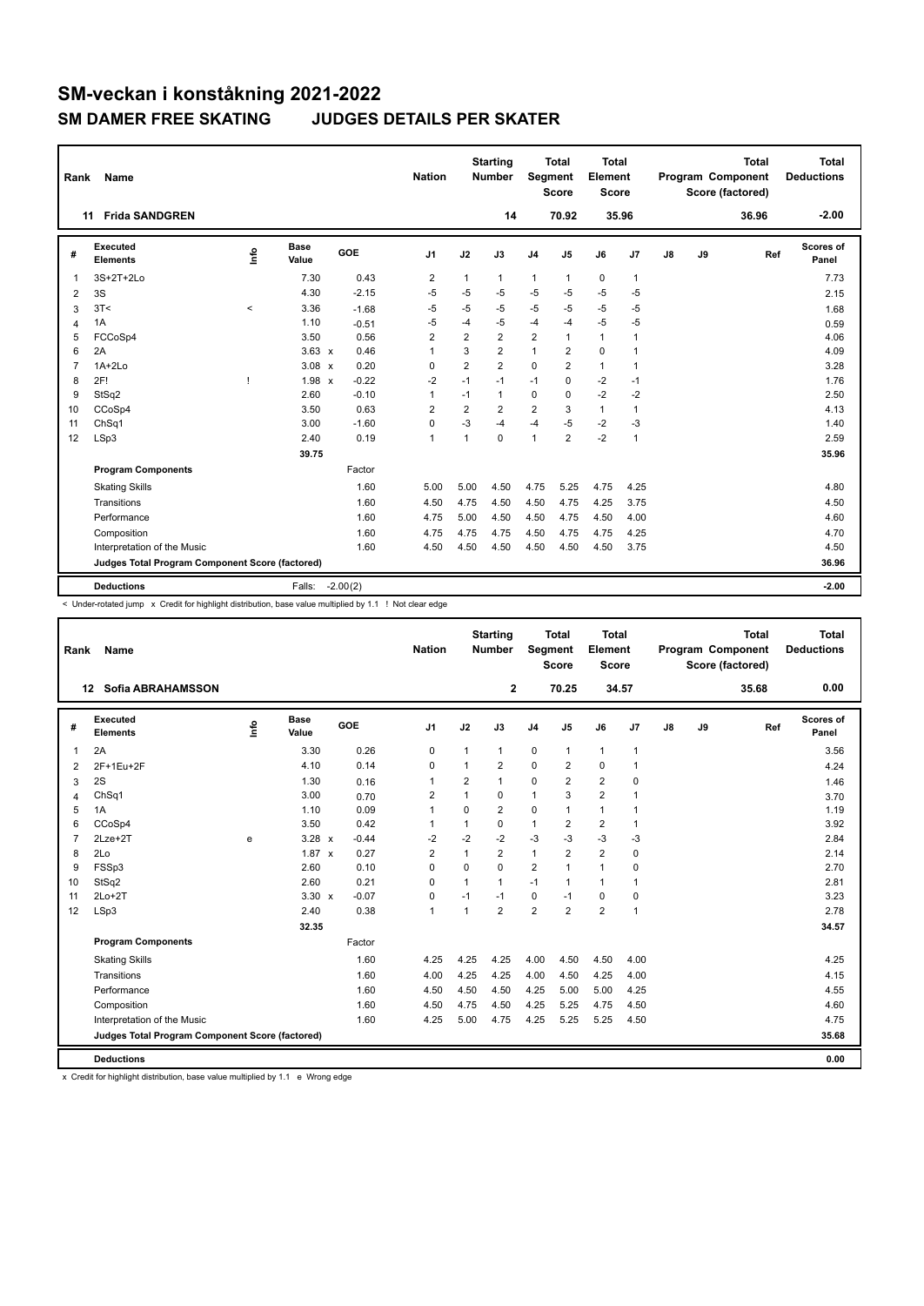| Rank           | <b>Name</b>                                     |         |                      |            | <b>Nation</b>  |                | <b>Starting</b><br><b>Number</b> | Segment        | <b>Total</b><br><b>Score</b> | Total<br>Element<br><b>Score</b> |              |               |    | <b>Total</b><br>Program Component<br>Score (factored) | Total<br><b>Deductions</b> |
|----------------|-------------------------------------------------|---------|----------------------|------------|----------------|----------------|----------------------------------|----------------|------------------------------|----------------------------------|--------------|---------------|----|-------------------------------------------------------|----------------------------|
|                | <b>Frida SANDGREN</b><br>11                     |         |                      |            |                |                | 14                               |                | 70.92                        |                                  | 35.96        |               |    | 36.96                                                 | $-2.00$                    |
| #              | Executed<br><b>Elements</b>                     | ۱nfo    | <b>Base</b><br>Value | GOE        | J <sub>1</sub> | J2             | J3                               | J <sub>4</sub> | J5                           | J6                               | J7           | $\mathsf{J}8$ | J9 | Ref                                                   | Scores of<br>Panel         |
| $\mathbf{1}$   | 3S+2T+2Lo                                       |         | 7.30                 | 0.43       | $\overline{2}$ | $\mathbf{1}$   | $\mathbf{1}$                     | $\mathbf{1}$   | 1                            | 0                                | $\mathbf{1}$ |               |    |                                                       | 7.73                       |
| $\overline{2}$ | 3S                                              |         | 4.30                 | $-2.15$    | -5             | $-5$           | $-5$                             | $-5$           | $-5$                         | $-5$                             | $-5$         |               |    |                                                       | 2.15                       |
| 3              | 3T<                                             | $\prec$ | 3.36                 | $-1.68$    | -5             | $-5$           | $-5$                             | $-5$           | $-5$                         | $-5$                             | $-5$         |               |    |                                                       | 1.68                       |
| 4              | 1A                                              |         | 1.10                 | $-0.51$    | -5             | $-4$           | $-5$                             | $-4$           | $-4$                         | $-5$                             | $-5$         |               |    |                                                       | 0.59                       |
| 5              | FCCoSp4                                         |         | 3.50                 | 0.56       | $\overline{2}$ | $\overline{2}$ | $\overline{2}$                   | $\overline{2}$ | 1                            | $\mathbf{1}$                     | 1            |               |    |                                                       | 4.06                       |
| 6              | 2A                                              |         | $3.63 \times$        | 0.46       | 1              | 3              | $\overline{2}$                   | $\mathbf{1}$   | $\overline{2}$               | $\Omega$                         | $\mathbf{1}$ |               |    |                                                       | 4.09                       |
| $\overline{7}$ | $1A+2Lo$                                        |         | $3.08 \times$        | 0.20       | $\Omega$       | $\overline{2}$ | $\overline{2}$                   | $\Omega$       | $\overline{2}$               | $\mathbf{1}$                     | $\mathbf 1$  |               |    |                                                       | 3.28                       |
| 8              | 2F!                                             |         | $1.98 \times$        | $-0.22$    | $-2$           | $-1$           | $-1$                             | $-1$           | 0                            | $-2$                             | $-1$         |               |    |                                                       | 1.76                       |
| 9              | StSq2                                           |         | 2.60                 | $-0.10$    | $\mathbf{1}$   | $-1$           | 1                                | $\mathbf 0$    | $\Omega$                     | $-2$                             | $-2$         |               |    |                                                       | 2.50                       |
| 10             | CCoSp4                                          |         | 3.50                 | 0.63       | $\overline{2}$ | $\overline{2}$ | $\overline{2}$                   | $\overline{2}$ | 3                            | $\mathbf{1}$                     | $\mathbf{1}$ |               |    |                                                       | 4.13                       |
| 11             | ChSq1                                           |         | 3.00                 | $-1.60$    | $\mathbf 0$    | $-3$           | $-4$                             | $-4$           | $-5$                         | $-2$                             | $-3$         |               |    |                                                       | 1.40                       |
| 12             | LSp3                                            |         | 2.40                 | 0.19       | $\mathbf{1}$   | $\overline{1}$ | $\mathbf 0$                      | $\overline{1}$ | $\overline{2}$               | $-2$                             | $\mathbf{1}$ |               |    |                                                       | 2.59                       |
|                |                                                 |         | 39.75                |            |                |                |                                  |                |                              |                                  |              |               |    |                                                       | 35.96                      |
|                | <b>Program Components</b>                       |         |                      | Factor     |                |                |                                  |                |                              |                                  |              |               |    |                                                       |                            |
|                | <b>Skating Skills</b>                           |         |                      | 1.60       | 5.00           | 5.00           | 4.50                             | 4.75           | 5.25                         | 4.75                             | 4.25         |               |    |                                                       | 4.80                       |
|                | Transitions                                     |         |                      | 1.60       | 4.50           | 4.75           | 4.50                             | 4.50           | 4.75                         | 4.25                             | 3.75         |               |    |                                                       | 4.50                       |
|                | Performance                                     |         |                      | 1.60       | 4.75           | 5.00           | 4.50                             | 4.50           | 4.75                         | 4.50                             | 4.00         |               |    |                                                       | 4.60                       |
|                | Composition                                     |         |                      | 1.60       | 4.75           | 4.75           | 4.75                             | 4.50           | 4.75                         | 4.75                             | 4.25         |               |    |                                                       | 4.70                       |
|                | Interpretation of the Music                     |         |                      | 1.60       | 4.50           | 4.50           | 4.50                             | 4.50           | 4.50                         | 4.50                             | 3.75         |               |    |                                                       | 4.50                       |
|                | Judges Total Program Component Score (factored) |         |                      |            |                |                |                                  |                |                              |                                  |              |               |    |                                                       | 36.96                      |
|                | <b>Deductions</b>                               |         | Falls:               | $-2.00(2)$ |                |                |                                  |                |                              |                                  |              |               |    |                                                       | $-2.00$                    |

< Under-rotated jump x Credit for highlight distribution, base value multiplied by 1.1 ! Not clear edge

| Rank           | Name                                            |     |                      |            | <b>Nation</b>  |                | <b>Starting</b><br><b>Number</b> | <b>Segment</b> | <b>Total</b><br><b>Score</b> | <b>Total</b><br>Element<br>Score |                |    |    | <b>Total</b><br>Program Component<br>Score (factored) | <b>Total</b><br><b>Deductions</b> |
|----------------|-------------------------------------------------|-----|----------------------|------------|----------------|----------------|----------------------------------|----------------|------------------------------|----------------------------------|----------------|----|----|-------------------------------------------------------|-----------------------------------|
|                | <b>Sofia ABRAHAMSSON</b><br>12                  |     |                      |            |                |                | $\mathbf{2}$                     |                | 70.25                        | 34.57                            |                |    |    | 35.68                                                 | 0.00                              |
| #              | Executed<br><b>Elements</b>                     | ١f٥ | <b>Base</b><br>Value | <b>GOE</b> | J <sub>1</sub> | J2             | J3                               | J <sub>4</sub> | J5                           | J6                               | J <sub>7</sub> | J8 | J9 | Ref                                                   | <b>Scores of</b><br>Panel         |
| 1              | 2A                                              |     | 3.30                 | 0.26       | 0              | 1              | 1                                | $\mathbf 0$    | $\mathbf{1}$                 | $\mathbf{1}$                     | $\overline{1}$ |    |    |                                                       | 3.56                              |
| 2              | 2F+1Eu+2F                                       |     | 4.10                 | 0.14       | 0              | 1              | $\overline{\mathbf{c}}$          | $\mathbf 0$    | $\overline{2}$               | 0                                | $\mathbf{1}$   |    |    |                                                       | 4.24                              |
| 3              | 2S                                              |     | 1.30                 | 0.16       | 1              | $\overline{2}$ | 1                                | $\mathbf 0$    | $\overline{2}$               | $\overline{\mathbf{c}}$          | 0              |    |    |                                                       | 1.46                              |
| 4              | ChSq1                                           |     | 3.00                 | 0.70       | 2              | 1              | 0                                | $\mathbf{1}$   | 3                            | $\overline{2}$                   | $\overline{1}$ |    |    |                                                       | 3.70                              |
| 5              | 1A                                              |     | 1.10                 | 0.09       | $\mathbf{1}$   | $\Omega$       | $\overline{2}$                   | 0              | $\mathbf{1}$                 | $\mathbf{1}$                     | $\overline{1}$ |    |    |                                                       | 1.19                              |
| 6              | CCoSp4                                          |     | 3.50                 | 0.42       | $\overline{1}$ | 1              | 0                                | $\mathbf{1}$   | 2                            | $\overline{\mathbf{c}}$          | $\mathbf{1}$   |    |    |                                                       | 3.92                              |
| $\overline{7}$ | $2$ Lze $+2$ T                                  | e   | $3.28 \times$        | $-0.44$    | -2             | $-2$           | $-2$                             | $-3$           | $-3$                         | $-3$                             | -3             |    |    |                                                       | 2.84                              |
| 8              | 2Lo                                             |     | $1.87 \times$        | 0.27       | $\overline{2}$ | $\mathbf{1}$   | $\overline{2}$                   | $\mathbf{1}$   | $\overline{2}$               | $\overline{2}$                   | $\mathbf 0$    |    |    |                                                       | 2.14                              |
| 9              | FSSp3                                           |     | 2.60                 | 0.10       | $\Omega$       | $\Omega$       | $\Omega$                         | $\overline{2}$ | 1                            | $\mathbf{1}$                     | $\mathbf 0$    |    |    |                                                       | 2.70                              |
| 10             | StSq2                                           |     | 2.60                 | 0.21       | 0              | 1              | 1                                | $-1$           | $\mathbf{1}$                 | $\mathbf{1}$                     | $\overline{1}$ |    |    |                                                       | 2.81                              |
| 11             | $2Lo+2T$                                        |     | $3.30 \times$        | $-0.07$    | 0              | $-1$           | $-1$                             | 0              | $-1$                         | 0                                | 0              |    |    |                                                       | 3.23                              |
| 12             | LSp3                                            |     | 2.40                 | 0.38       | $\mathbf{1}$   | 1              | $\overline{2}$                   | $\overline{2}$ | $\overline{2}$               | $\overline{2}$                   | $\overline{1}$ |    |    |                                                       | 2.78                              |
|                |                                                 |     | 32.35                |            |                |                |                                  |                |                              |                                  |                |    |    |                                                       | 34.57                             |
|                | <b>Program Components</b>                       |     |                      | Factor     |                |                |                                  |                |                              |                                  |                |    |    |                                                       |                                   |
|                | <b>Skating Skills</b>                           |     |                      | 1.60       | 4.25           | 4.25           | 4.25                             | 4.00           | 4.50                         | 4.50                             | 4.00           |    |    |                                                       | 4.25                              |
|                | Transitions                                     |     |                      | 1.60       | 4.00           | 4.25           | 4.25                             | 4.00           | 4.50                         | 4.25                             | 4.00           |    |    |                                                       | 4.15                              |
|                | Performance                                     |     |                      | 1.60       | 4.50           | 4.50           | 4.50                             | 4.25           | 5.00                         | 5.00                             | 4.25           |    |    |                                                       | 4.55                              |
|                | Composition                                     |     |                      | 1.60       | 4.50           | 4.75           | 4.50                             | 4.25           | 5.25                         | 4.75                             | 4.50           |    |    |                                                       | 4.60                              |
|                | Interpretation of the Music                     |     |                      | 1.60       | 4.25           | 5.00           | 4.75                             | 4.25           | 5.25                         | 5.25                             | 4.50           |    |    |                                                       | 4.75                              |
|                | Judges Total Program Component Score (factored) |     |                      |            |                |                |                                  |                |                              |                                  |                |    |    |                                                       | 35.68                             |
|                | <b>Deductions</b>                               |     |                      |            |                |                |                                  |                |                              |                                  |                |    |    |                                                       | 0.00                              |

x Credit for highlight distribution, base value multiplied by 1.1 e Wrong edge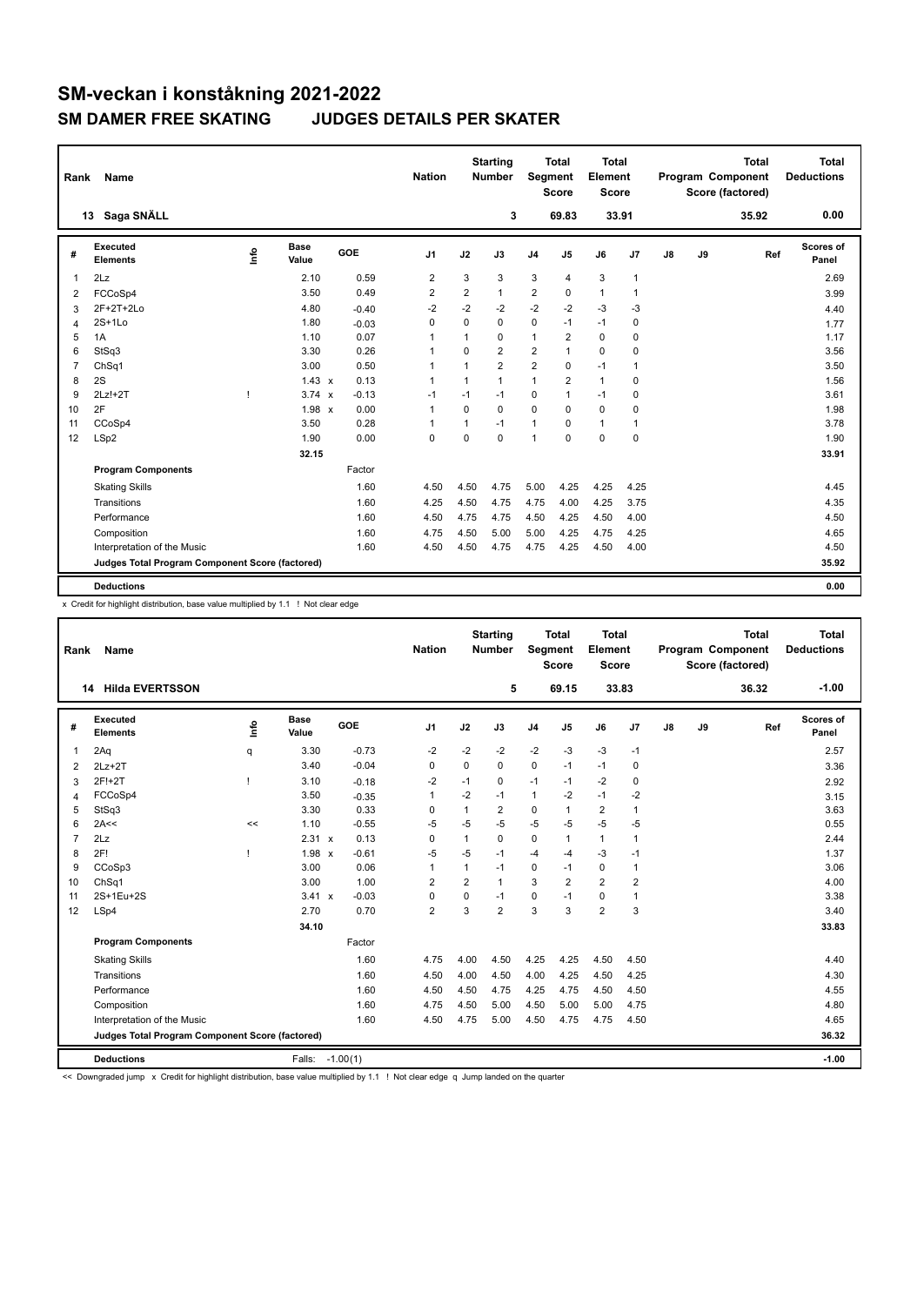| Rank           | <b>Name</b>                                     |      |                      |         | <b>Nation</b>  |                | <b>Starting</b><br><b>Number</b> | Segment                 | <b>Total</b><br><b>Score</b> | Total<br>Element<br><b>Score</b> |                |    |    | <b>Total</b><br>Program Component<br>Score (factored) | Total<br><b>Deductions</b> |
|----------------|-------------------------------------------------|------|----------------------|---------|----------------|----------------|----------------------------------|-------------------------|------------------------------|----------------------------------|----------------|----|----|-------------------------------------------------------|----------------------------|
|                | Saga SNÄLL<br>13                                |      |                      |         |                |                | 3                                |                         | 69.83                        | 33.91                            |                |    |    | 35.92                                                 | 0.00                       |
| #              | Executed<br><b>Elements</b>                     | ١rfo | <b>Base</b><br>Value | GOE     | J1             | J2             | J3                               | J <sub>4</sub>          | J5                           | J6                               | J7             | J8 | J9 | Ref                                                   | <b>Scores of</b><br>Panel  |
| $\overline{1}$ | 2Lz                                             |      | 2.10                 | 0.59    | $\overline{2}$ | 3              | 3                                | 3                       | 4                            | 3                                | $\mathbf{1}$   |    |    |                                                       | 2.69                       |
| 2              | FCCoSp4                                         |      | 3.50                 | 0.49    | $\overline{2}$ | $\overline{2}$ | 1                                | $\overline{2}$          | $\Omega$                     | $\mathbf{1}$                     | $\mathbf{1}$   |    |    |                                                       | 3.99                       |
| 3              | 2F+2T+2Lo                                       |      | 4.80                 | $-0.40$ | $-2$           | $-2$           | $-2$                             | $-2$                    | $-2$                         | $-3$                             | $-3$           |    |    |                                                       | 4.40                       |
| 4              | $2S+1L0$                                        |      | 1.80                 | $-0.03$ | 0              | 0              | 0                                | $\mathbf 0$             | $-1$                         | $-1$                             | 0              |    |    |                                                       | 1.77                       |
| 5              | 1A                                              |      | 1.10                 | 0.07    | $\mathbf{1}$   | $\mathbf{1}$   | 0                                | $\mathbf{1}$            | $\overline{2}$               | $\mathbf 0$                      | $\mathbf 0$    |    |    |                                                       | 1.17                       |
| 6              | StSq3                                           |      | 3.30                 | 0.26    | -1             | $\Omega$       | $\overline{\mathbf{c}}$          | $\overline{\mathbf{c}}$ | $\mathbf{1}$                 | $\mathbf 0$                      | 0              |    |    |                                                       | 3.56                       |
| $\overline{7}$ | ChSq1                                           |      | 3.00                 | 0.50    | 1              | 1              | $\overline{2}$                   | $\overline{2}$          | 0                            | $-1$                             | $\overline{1}$ |    |    |                                                       | 3.50                       |
| 8              | 2S                                              |      | $1.43 \times$        | 0.13    | $\mathbf{1}$   | 1              | 1                                | $\mathbf{1}$            | $\overline{2}$               | $\mathbf{1}$                     | 0              |    |    |                                                       | 1.56                       |
| 9              | $2Lz!+2T$                                       | 1    | 3.74<br>$\mathbf{x}$ | $-0.13$ | $-1$           | $-1$           | $-1$                             | $\mathbf 0$             | $\mathbf{1}$                 | $-1$                             | $\mathbf 0$    |    |    |                                                       | 3.61                       |
| 10             | 2F                                              |      | 1.98 x               | 0.00    | $\mathbf{1}$   | $\Omega$       | 0                                | $\mathbf 0$             | $\Omega$                     | 0                                | $\mathbf 0$    |    |    |                                                       | 1.98                       |
| 11             | CCoSp4                                          |      | 3.50                 | 0.28    | $\mathbf{1}$   | 1              | $-1$                             | $\mathbf{1}$            | 0                            | 1                                | $\overline{1}$ |    |    |                                                       | 3.78                       |
| 12             | LSp2                                            |      | 1.90                 | 0.00    | $\mathbf 0$    | $\Omega$       | $\Omega$                         | $\overline{1}$          | $\Omega$                     | $\Omega$                         | $\pmb{0}$      |    |    |                                                       | 1.90                       |
|                |                                                 |      | 32.15                |         |                |                |                                  |                         |                              |                                  |                |    |    |                                                       | 33.91                      |
|                | <b>Program Components</b>                       |      |                      | Factor  |                |                |                                  |                         |                              |                                  |                |    |    |                                                       |                            |
|                | <b>Skating Skills</b>                           |      |                      | 1.60    | 4.50           | 4.50           | 4.75                             | 5.00                    | 4.25                         | 4.25                             | 4.25           |    |    |                                                       | 4.45                       |
|                | Transitions                                     |      |                      | 1.60    | 4.25           | 4.50           | 4.75                             | 4.75                    | 4.00                         | 4.25                             | 3.75           |    |    |                                                       | 4.35                       |
|                | Performance                                     |      |                      | 1.60    | 4.50           | 4.75           | 4.75                             | 4.50                    | 4.25                         | 4.50                             | 4.00           |    |    |                                                       | 4.50                       |
|                | Composition                                     |      |                      | 1.60    | 4.75           | 4.50           | 5.00                             | 5.00                    | 4.25                         | 4.75                             | 4.25           |    |    |                                                       | 4.65                       |
|                | Interpretation of the Music                     |      |                      | 1.60    | 4.50           | 4.50           | 4.75                             | 4.75                    | 4.25                         | 4.50                             | 4.00           |    |    |                                                       | 4.50                       |
|                | Judges Total Program Component Score (factored) |      |                      |         |                |                |                                  |                         |                              |                                  |                |    |    |                                                       | 35.92                      |
|                | <b>Deductions</b>                               |      |                      |         |                |                |                                  |                         |                              |                                  |                |    |    |                                                       | 0.00                       |

x Credit for highlight distribution, base value multiplied by 1.1 ! Not clear edge

| Rank           | Name                                            |      |                      |            | <b>Nation</b>  |                | <b>Starting</b><br><b>Number</b> | Segment        | <b>Total</b><br><b>Score</b> | <b>Total</b><br>Element<br><b>Score</b> |                |               |    | <b>Total</b><br>Program Component<br>Score (factored) | <b>Total</b><br><b>Deductions</b> |
|----------------|-------------------------------------------------|------|----------------------|------------|----------------|----------------|----------------------------------|----------------|------------------------------|-----------------------------------------|----------------|---------------|----|-------------------------------------------------------|-----------------------------------|
|                | 14 Hilda EVERTSSON                              |      |                      |            |                |                | 5                                |                | 69.15                        |                                         | 33.83          |               |    | 36.32                                                 | $-1.00$                           |
| #              | Executed<br><b>Elements</b>                     | lnfo | <b>Base</b><br>Value | GOE        | J <sub>1</sub> | J2             | J3                               | J <sub>4</sub> | J5                           | J6                                      | J7             | $\mathsf{J}8$ | J9 | Ref                                                   | Scores of<br>Panel                |
| 1              | 2Aq                                             | q    | 3.30                 | $-0.73$    | $-2$           | $-2$           | $-2$                             | $-2$           | $-3$                         | $-3$                                    | $-1$           |               |    |                                                       | 2.57                              |
| 2              | $2Lz+2T$                                        |      | 3.40                 | $-0.04$    | 0              | 0              | 0                                | $\mathbf 0$    | $-1$                         | $-1$                                    | $\mathbf 0$    |               |    |                                                       | 3.36                              |
| 3              | 2F!+2T                                          | ı    | 3.10                 | $-0.18$    | -2             | $-1$           | 0                                | $-1$           | $-1$                         | $-2$                                    | $\mathbf 0$    |               |    |                                                       | 2.92                              |
| 4              | FCCoSp4                                         |      | 3.50                 | $-0.35$    | 1              | $-2$           | $-1$                             | $\mathbf{1}$   | $-2$                         | $-1$                                    | $-2$           |               |    |                                                       | 3.15                              |
| 5              | StSq3                                           |      | 3.30                 | 0.33       | $\Omega$       | 1              | $\overline{2}$                   | $\Omega$       | 1                            | $\overline{2}$                          | 1              |               |    |                                                       | 3.63                              |
| 6              | 2A<<                                            | <<   | 1.10                 | $-0.55$    | $-5$           | $-5$           | $-5$                             | $-5$           | $-5$                         | $-5$                                    | $-5$           |               |    |                                                       | 0.55                              |
| $\overline{7}$ | 2Lz                                             |      | 2.31 x               | 0.13       | $\mathbf 0$    | $\mathbf{1}$   | 0                                | $\mathbf 0$    | 1                            | $\mathbf{1}$                            | $\mathbf{1}$   |               |    |                                                       | 2.44                              |
| 8              | 2F!                                             |      | $1.98 \times$        | $-0.61$    | $-5$           | $-5$           | $-1$                             | $-4$           | $-4$                         | $-3$                                    | $-1$           |               |    |                                                       | 1.37                              |
| 9              | CCoSp3                                          |      | 3.00                 | 0.06       | $\mathbf{1}$   | 1              | $-1$                             | $\mathbf 0$    | $-1$                         | $\mathbf 0$                             | $\mathbf{1}$   |               |    |                                                       | 3.06                              |
| 10             | ChSq1                                           |      | 3.00                 | 1.00       | $\overline{2}$ | $\overline{2}$ | $\mathbf{1}$                     | 3              | 2                            | $\overline{2}$                          | $\overline{2}$ |               |    |                                                       | 4.00                              |
| 11             | 2S+1Eu+2S                                       |      | $3.41 \times$        | $-0.03$    | 0              | 0              | $-1$                             | 0              | $-1$                         | 0                                       | $\mathbf{1}$   |               |    |                                                       | 3.38                              |
| 12             | LSp4                                            |      | 2.70                 | 0.70       | $\overline{2}$ | 3              | $\overline{2}$                   | 3              | 3                            | $\overline{2}$                          | 3              |               |    |                                                       | 3.40                              |
|                |                                                 |      | 34.10                |            |                |                |                                  |                |                              |                                         |                |               |    |                                                       | 33.83                             |
|                | <b>Program Components</b>                       |      |                      | Factor     |                |                |                                  |                |                              |                                         |                |               |    |                                                       |                                   |
|                | <b>Skating Skills</b>                           |      |                      | 1.60       | 4.75           | 4.00           | 4.50                             | 4.25           | 4.25                         | 4.50                                    | 4.50           |               |    |                                                       | 4.40                              |
|                | Transitions                                     |      |                      | 1.60       | 4.50           | 4.00           | 4.50                             | 4.00           | 4.25                         | 4.50                                    | 4.25           |               |    |                                                       | 4.30                              |
|                | Performance                                     |      |                      | 1.60       | 4.50           | 4.50           | 4.75                             | 4.25           | 4.75                         | 4.50                                    | 4.50           |               |    |                                                       | 4.55                              |
|                | Composition                                     |      |                      | 1.60       | 4.75           | 4.50           | 5.00                             | 4.50           | 5.00                         | 5.00                                    | 4.75           |               |    |                                                       | 4.80                              |
|                | Interpretation of the Music                     |      |                      | 1.60       | 4.50           | 4.75           | 5.00                             | 4.50           | 4.75                         | 4.75                                    | 4.50           |               |    |                                                       | 4.65                              |
|                | Judges Total Program Component Score (factored) |      |                      |            |                |                |                                  |                |                              |                                         |                |               |    |                                                       | 36.32                             |
|                | <b>Deductions</b>                               |      | Falls:               | $-1.00(1)$ |                |                |                                  |                |                              |                                         |                |               |    |                                                       | $-1.00$                           |

<< Downgraded jump x Credit for highlight distribution, base value multiplied by 1.1 ! Not clear edge q Jump landed on the quarter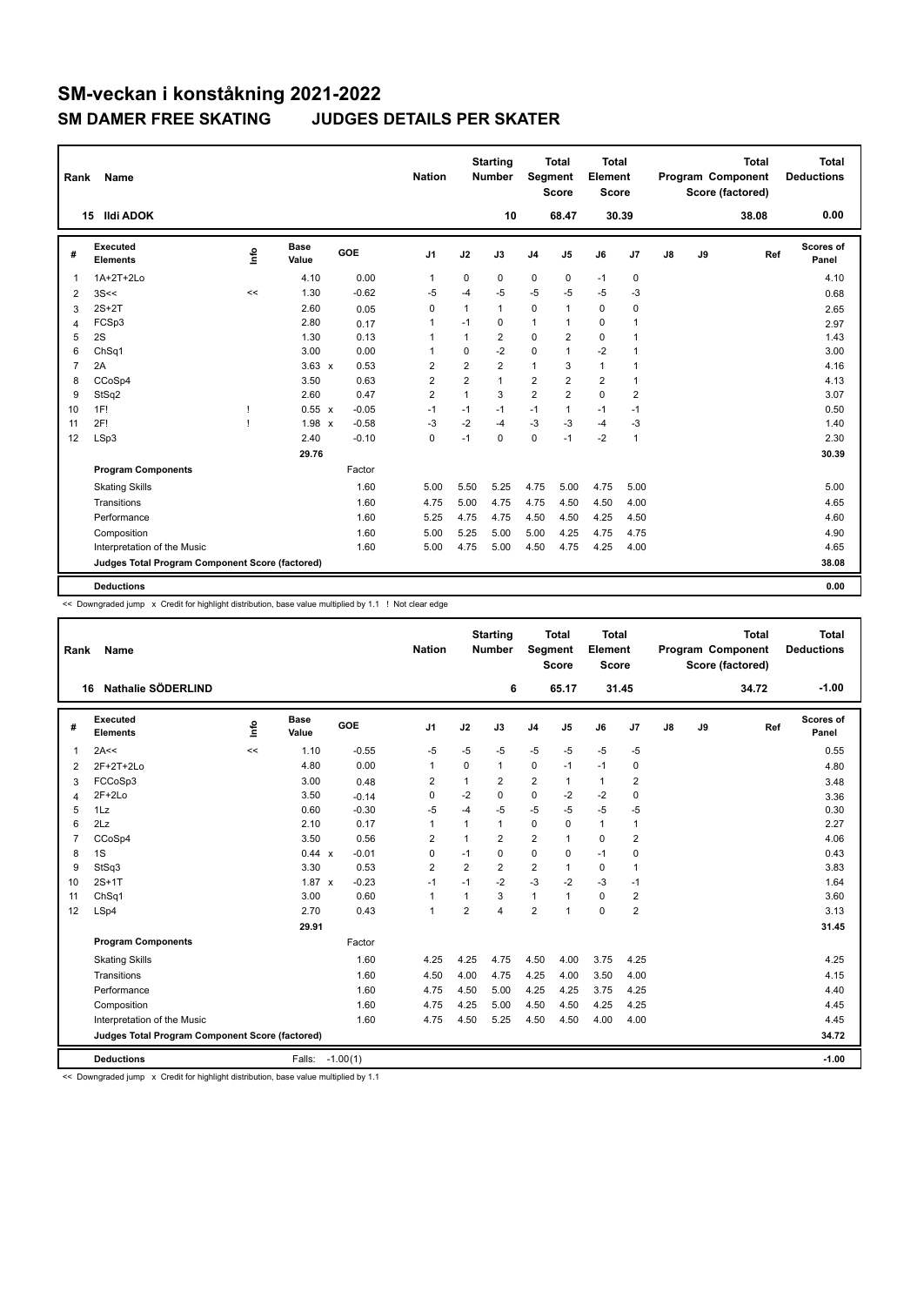| Rank           | Name                                            |      |               |         | <b>Nation</b>  |                | <b>Starting</b><br><b>Number</b> | Segment        | <b>Total</b><br><b>Score</b> | <b>Total</b><br>Element<br><b>Score</b> |                |    |    | <b>Total</b><br>Program Component<br>Score (factored) | <b>Total</b><br><b>Deductions</b> |
|----------------|-------------------------------------------------|------|---------------|---------|----------------|----------------|----------------------------------|----------------|------------------------------|-----------------------------------------|----------------|----|----|-------------------------------------------------------|-----------------------------------|
|                | <b>Ildi ADOK</b><br>15                          |      |               |         |                |                | 10                               |                | 68.47                        |                                         | 30.39          |    |    | 38.08                                                 | 0.00                              |
| #              | Executed<br><b>Elements</b>                     | info | Base<br>Value | GOE     | J <sub>1</sub> | J2             | J3                               | J <sub>4</sub> | J5                           | J6                                      | J7             | J8 | J9 | Ref                                                   | Scores of<br>Panel                |
| 1              | 1A+2T+2Lo                                       |      | 4.10          | 0.00    | $\mathbf 1$    | $\mathbf 0$    | 0                                | $\mathbf 0$    | 0                            | $-1$                                    | 0              |    |    |                                                       | 4.10                              |
| 2              | 3S<<                                            | <<   | 1.30          | $-0.62$ | $-5$           | $-4$           | $-5$                             | $-5$           | $-5$                         | $-5$                                    | -3             |    |    |                                                       | 0.68                              |
| 3              | $2S+2T$                                         |      | 2.60          | 0.05    | 0              | 1              | $\mathbf{1}$                     | $\mathbf 0$    | 1                            | $\Omega$                                | 0              |    |    |                                                       | 2.65                              |
| 4              | FCSp3                                           |      | 2.80          | 0.17    | 1              | $-1$           | 0                                | $\mathbf{1}$   | 1                            | $\mathbf 0$                             | 1              |    |    |                                                       | 2.97                              |
| 5              | 2S                                              |      | 1.30          | 0.13    | 1              | 1              | $\overline{2}$                   | $\mathbf 0$    | $\overline{2}$               | $\mathbf 0$                             | $\overline{1}$ |    |    |                                                       | 1.43                              |
| 6              | ChSq1                                           |      | 3.00          | 0.00    | 1              | $\mathbf 0$    | $-2$                             | $\mathbf 0$    | 1                            | $-2$                                    | $\overline{1}$ |    |    |                                                       | 3.00                              |
| $\overline{7}$ | 2A                                              |      | $3.63 \times$ | 0.53    | $\overline{2}$ | $\overline{2}$ | $\overline{2}$                   | $\mathbf{1}$   | 3                            | $\mathbf{1}$                            | $\overline{1}$ |    |    |                                                       | 4.16                              |
| 8              | CCoSp4                                          |      | 3.50          | 0.63    | $\overline{2}$ | $\overline{2}$ | $\mathbf{1}$                     | 2              | $\overline{2}$               | $\overline{2}$                          | $\overline{1}$ |    |    |                                                       | 4.13                              |
| 9              | StSq2                                           |      | 2.60          | 0.47    | $\overline{2}$ | $\mathbf{1}$   | 3                                | $\overline{2}$ | $\overline{2}$               | $\mathbf 0$                             | $\overline{2}$ |    |    |                                                       | 3.07                              |
| 10             | 1F!                                             | J.   | 0.55 x        | $-0.05$ | $-1$           | $-1$           | $-1$                             | $-1$           | $\mathbf{1}$                 | $-1$                                    | $-1$           |    |    |                                                       | 0.50                              |
| 11             | 2F!                                             |      | $1.98 \times$ | $-0.58$ | $-3$           | $-2$           | $-4$                             | $-3$           | -3                           | $-4$                                    | -3             |    |    |                                                       | 1.40                              |
| 12             | LSp3                                            |      | 2.40          | $-0.10$ | 0              | $-1$           | $\Omega$                         | 0              | $-1$                         | $-2$                                    | $\overline{1}$ |    |    |                                                       | 2.30                              |
|                |                                                 |      | 29.76         |         |                |                |                                  |                |                              |                                         |                |    |    |                                                       | 30.39                             |
|                | <b>Program Components</b>                       |      |               | Factor  |                |                |                                  |                |                              |                                         |                |    |    |                                                       |                                   |
|                | <b>Skating Skills</b>                           |      |               | 1.60    | 5.00           | 5.50           | 5.25                             | 4.75           | 5.00                         | 4.75                                    | 5.00           |    |    |                                                       | 5.00                              |
|                | Transitions                                     |      |               | 1.60    | 4.75           | 5.00           | 4.75                             | 4.75           | 4.50                         | 4.50                                    | 4.00           |    |    |                                                       | 4.65                              |
|                | Performance                                     |      |               | 1.60    | 5.25           | 4.75           | 4.75                             | 4.50           | 4.50                         | 4.25                                    | 4.50           |    |    |                                                       | 4.60                              |
|                | Composition                                     |      |               | 1.60    | 5.00           | 5.25           | 5.00                             | 5.00           | 4.25                         | 4.75                                    | 4.75           |    |    |                                                       | 4.90                              |
|                | Interpretation of the Music                     |      |               | 1.60    | 5.00           | 4.75           | 5.00                             | 4.50           | 4.75                         | 4.25                                    | 4.00           |    |    |                                                       | 4.65                              |
|                | Judges Total Program Component Score (factored) |      |               |         |                |                |                                  |                |                              |                                         |                |    |    |                                                       | 38.08                             |
|                | <b>Deductions</b>                               |      |               |         |                |                |                                  |                |                              |                                         |                |    |    |                                                       |                                   |
|                |                                                 |      |               |         |                |                |                                  |                |                              |                                         |                |    |    |                                                       | 0.00                              |

<< Downgraded jump x Credit for highlight distribution, base value multiplied by 1.1 ! Not clear edge

| Rank           | <b>Name</b>                                     |    |                      |            | <b>Nation</b>  |                | <b>Starting</b><br><b>Number</b> | <b>Segment</b> | <b>Total</b><br><b>Score</b> | <b>Total</b><br>Element<br><b>Score</b> |                |               |    | <b>Total</b><br>Program Component<br>Score (factored) | <b>Total</b><br><b>Deductions</b> |
|----------------|-------------------------------------------------|----|----------------------|------------|----------------|----------------|----------------------------------|----------------|------------------------------|-----------------------------------------|----------------|---------------|----|-------------------------------------------------------|-----------------------------------|
|                | Nathalie SÖDERLIND<br>16                        |    |                      |            |                |                | 6                                |                | 65.17                        |                                         | 31.45          |               |    | 34.72                                                 | $-1.00$                           |
| #              | Executed<br><b>Elements</b>                     | ١m | <b>Base</b><br>Value | <b>GOE</b> | J <sub>1</sub> | J2             | J3                               | J <sub>4</sub> | J <sub>5</sub>               | J6                                      | J <sub>7</sub> | $\mathsf{J}8$ | J9 | Ref                                                   | Scores of<br>Panel                |
| $\mathbf 1$    | 2A<<                                            | << | 1.10                 | $-0.55$    | $-5$           | $-5$           | $-5$                             | $-5$           | $-5$                         | $-5$                                    | $-5$           |               |    |                                                       | 0.55                              |
| 2              | 2F+2T+2Lo                                       |    | 4.80                 | 0.00       | $\mathbf{1}$   | 0              | 1                                | 0              | $-1$                         | $-1$                                    | 0              |               |    |                                                       | 4.80                              |
| 3              | FCCoSp3                                         |    | 3.00                 | 0.48       | 2              | $\mathbf{1}$   | $\overline{2}$                   | $\overline{2}$ | 1                            | 1                                       | $\overline{2}$ |               |    |                                                       | 3.48                              |
| $\overline{4}$ | $2F+2Lo$                                        |    | 3.50                 | $-0.14$    | 0              | $-2$           | 0                                | $\mathbf 0$    | $-2$                         | $-2$                                    | $\mathbf 0$    |               |    |                                                       | 3.36                              |
| 5              | 1Lz                                             |    | 0.60                 | $-0.30$    | $-5$           | $-4$           | $-5$                             | $-5$           | $-5$                         | $-5$                                    | $-5$           |               |    |                                                       | 0.30                              |
| 6              | 2Lz                                             |    | 2.10                 | 0.17       | $\overline{1}$ | $\mathbf{1}$   | 1                                | $\mathbf 0$    | $\Omega$                     | $\mathbf{1}$                            | $\mathbf{1}$   |               |    |                                                       | 2.27                              |
| $\overline{7}$ | CCoSp4                                          |    | 3.50                 | 0.56       | $\overline{2}$ | $\mathbf{1}$   | $\overline{2}$                   | $\overline{2}$ | $\mathbf{1}$                 | 0                                       | $\overline{2}$ |               |    |                                                       | 4.06                              |
| 8              | 1S                                              |    | 0.44 x               | $-0.01$    | 0              | $-1$           | 0                                | $\mathbf 0$    | 0                            | $-1$                                    | $\mathbf 0$    |               |    |                                                       | 0.43                              |
| 9              | StSq3                                           |    | 3.30                 | 0.53       | $\overline{2}$ | $\overline{2}$ | $\overline{2}$                   | $\overline{2}$ | $\mathbf{1}$                 | 0                                       | $\overline{1}$ |               |    |                                                       | 3.83                              |
| 10             | $2S+1T$                                         |    | $1.87 \times$        | $-0.23$    | $-1$           | $-1$           | $-2$                             | $-3$           | $-2$                         | $-3$                                    | $-1$           |               |    |                                                       | 1.64                              |
| 11             | ChSq1                                           |    | 3.00                 | 0.60       | $\mathbf{1}$   | $\overline{1}$ | 3                                | $\mathbf{1}$   | $\mathbf{1}$                 | 0                                       | $\overline{2}$ |               |    |                                                       | 3.60                              |
| 12             | LSp4                                            |    | 2.70                 | 0.43       | $\mathbf{1}$   | $\overline{2}$ | $\overline{\mathbf{4}}$          | $\overline{2}$ | $\mathbf{1}$                 | 0                                       | $\overline{2}$ |               |    |                                                       | 3.13                              |
|                |                                                 |    | 29.91                |            |                |                |                                  |                |                              |                                         |                |               |    |                                                       | 31.45                             |
|                | <b>Program Components</b>                       |    |                      | Factor     |                |                |                                  |                |                              |                                         |                |               |    |                                                       |                                   |
|                | <b>Skating Skills</b>                           |    |                      | 1.60       | 4.25           | 4.25           | 4.75                             | 4.50           | 4.00                         | 3.75                                    | 4.25           |               |    |                                                       | 4.25                              |
|                | Transitions                                     |    |                      | 1.60       | 4.50           | 4.00           | 4.75                             | 4.25           | 4.00                         | 3.50                                    | 4.00           |               |    |                                                       | 4.15                              |
|                | Performance                                     |    |                      | 1.60       | 4.75           | 4.50           | 5.00                             | 4.25           | 4.25                         | 3.75                                    | 4.25           |               |    |                                                       | 4.40                              |
|                | Composition                                     |    |                      | 1.60       | 4.75           | 4.25           | 5.00                             | 4.50           | 4.50                         | 4.25                                    | 4.25           |               |    |                                                       | 4.45                              |
|                | Interpretation of the Music                     |    |                      | 1.60       | 4.75           | 4.50           | 5.25                             | 4.50           | 4.50                         | 4.00                                    | 4.00           |               |    |                                                       | 4.45                              |
|                | Judges Total Program Component Score (factored) |    |                      |            |                |                |                                  |                |                              |                                         |                |               |    |                                                       | 34.72                             |
|                | <b>Deductions</b>                               |    | Falls:               | $-1.00(1)$ |                |                |                                  |                |                              |                                         |                |               |    |                                                       | $-1.00$                           |

<< Downgraded jump x Credit for highlight distribution, base value multiplied by 1.1